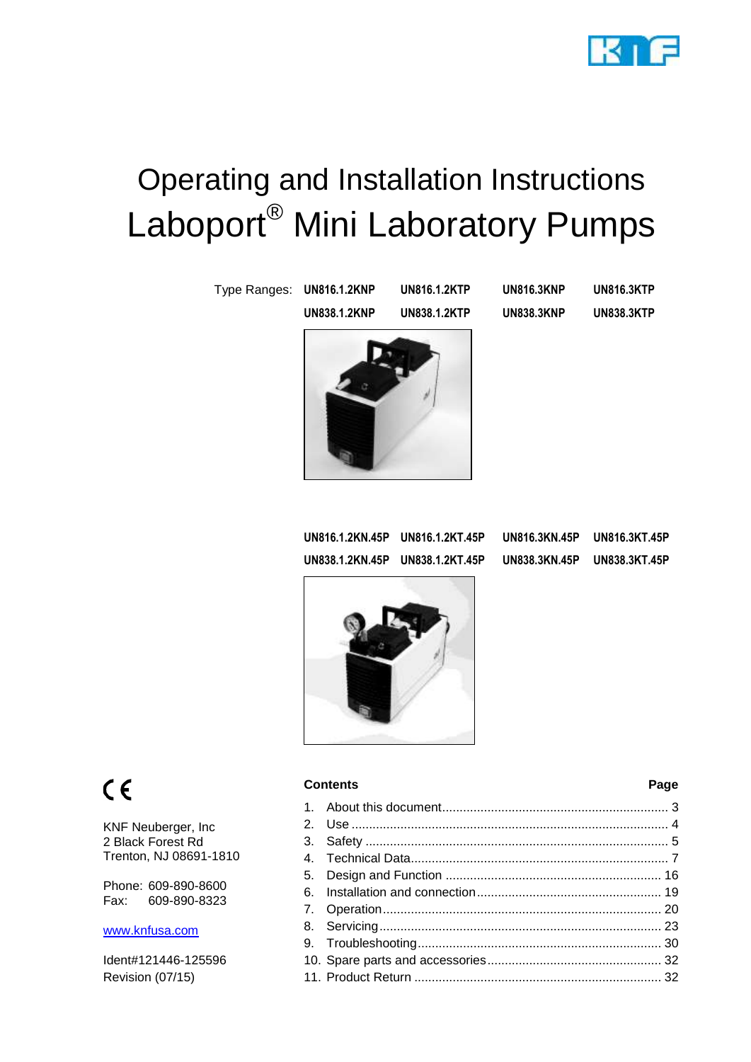

# Operating and Installation Instructions Laboport® Mini Laboratory Pumps

Type Ranges: **UN816.1.2KNP UN816.1.2KTP UN816.3KNP UN816.3KTP**

**UN838.1.2KNP UN838.1.2KTP UN838.3KNP UN838.3KTP**



**UN816.1.2KN.45P UN816.1.2KT.45P U UN838.1.2KN.45P UN838.1.2KT.45P U**

| UN816.3KN.45P | <b>UN816.3KT.45P</b> |  |  |  |
|---------------|----------------------|--|--|--|
| UN838.3KN.45P | <b>UN838.3KT.45P</b> |  |  |  |



# $C<sub>6</sub>$

KNF Neuberger, Inc 2 Black Forest Rd Trenton, NJ 08691-1810

Phone: 609-890-8600 Fax: 609-890-8323

#### [www.knfusa.com](http://www.knfusa.com/)

Ident#121446-125596 Revision (07/15)

#### **Contents Page**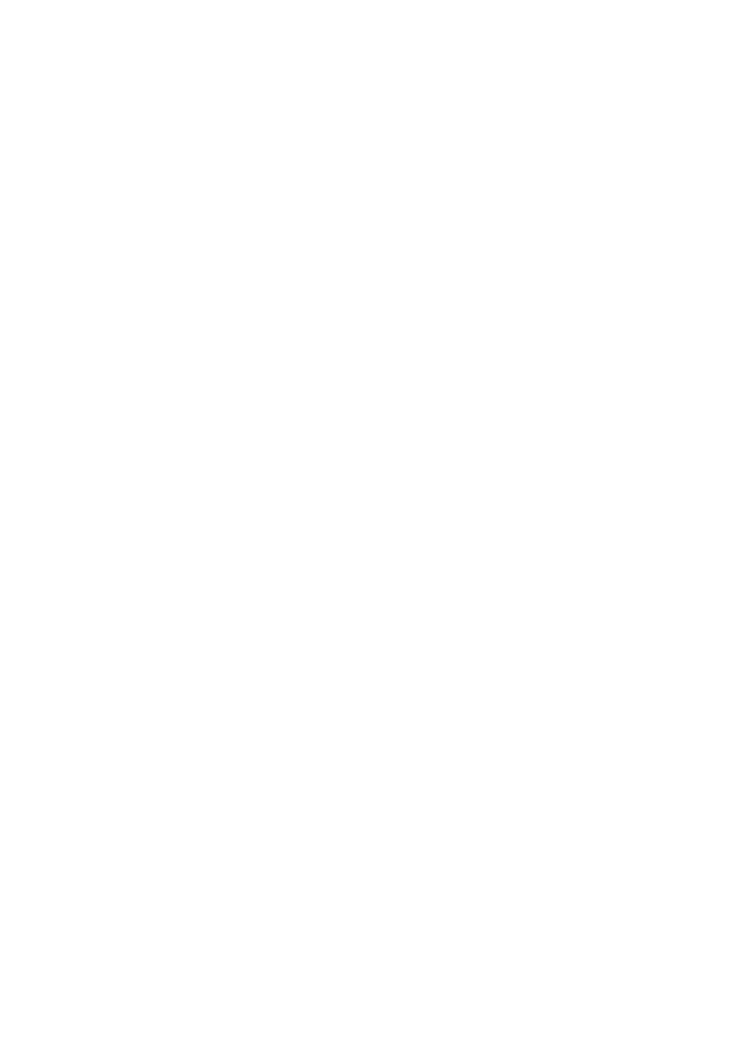<span id="page-1-0"></span>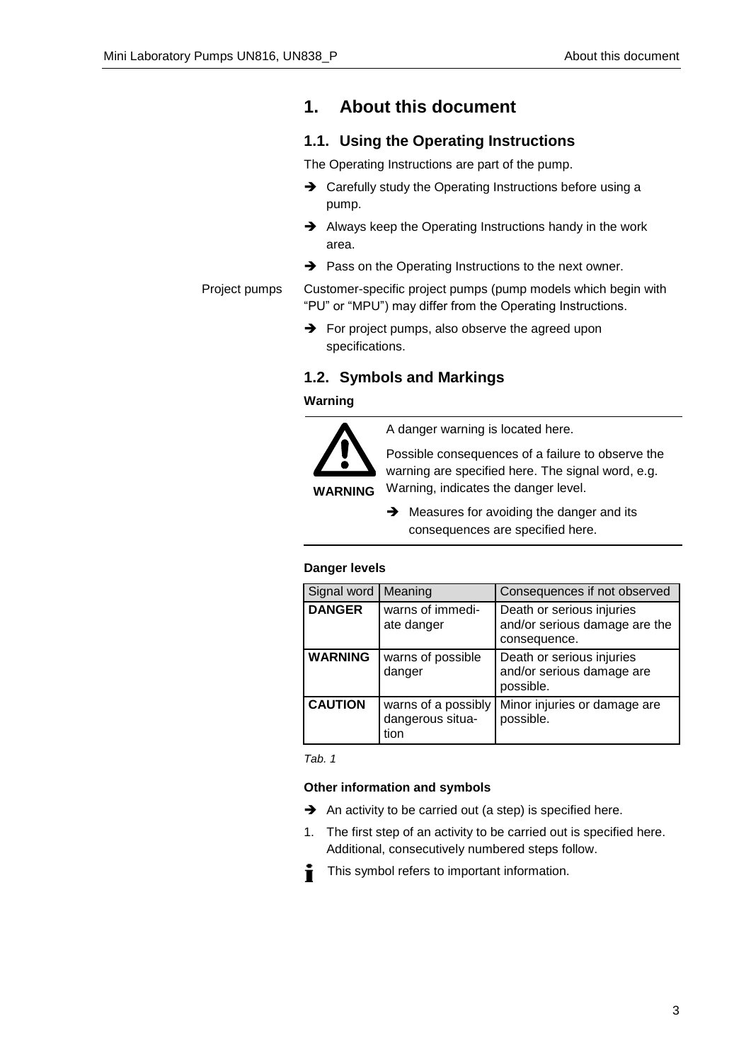### **1. About this document**

### **1.1. Using the Operating Instructions**

The Operating Instructions are part of the pump.

- → Carefully study the Operating Instructions before using a pump.
- $\rightarrow$  Always keep the Operating Instructions handy in the work area.
- A Pass on the Operating Instructions to the next owner.

Project pumps

Customer-specific project pumps (pump models which begin with "PU" or "MPU") may differ from the Operating Instructions.

 $\rightarrow$  For project pumps, also observe the agreed upon specifications.

#### **1.2. Symbols and Markings**

#### **Warning**



A danger warning is located here.

Possible consequences of a failure to observe the warning are specified here. The signal word, e.g. Warning, indicates the danger level.

 $\rightarrow$  Measures for avoiding the danger and its consequences are specified here.

#### **Danger levels**

| Signal word    | Meaning                                         | Consequences if not observed                                               |
|----------------|-------------------------------------------------|----------------------------------------------------------------------------|
| <b>DANGER</b>  | warns of immedi-<br>ate danger                  | Death or serious injuries<br>and/or serious damage are the<br>consequence. |
| <b>WARNING</b> | warns of possible<br>danger                     | Death or serious injuries<br>and/or serious damage are<br>possible.        |
| <b>CAUTION</b> | warns of a possibly<br>dangerous situa-<br>tion | Minor injuries or damage are<br>possible.                                  |

*Tab. 1*

#### **Other information and symbols**

- $\rightarrow$  An activity to be carried out (a step) is specified here.
- 1. The first step of an activity to be carried out is specified here. Additional, consecutively numbered steps follow.
- This symbol refers to important information. Ť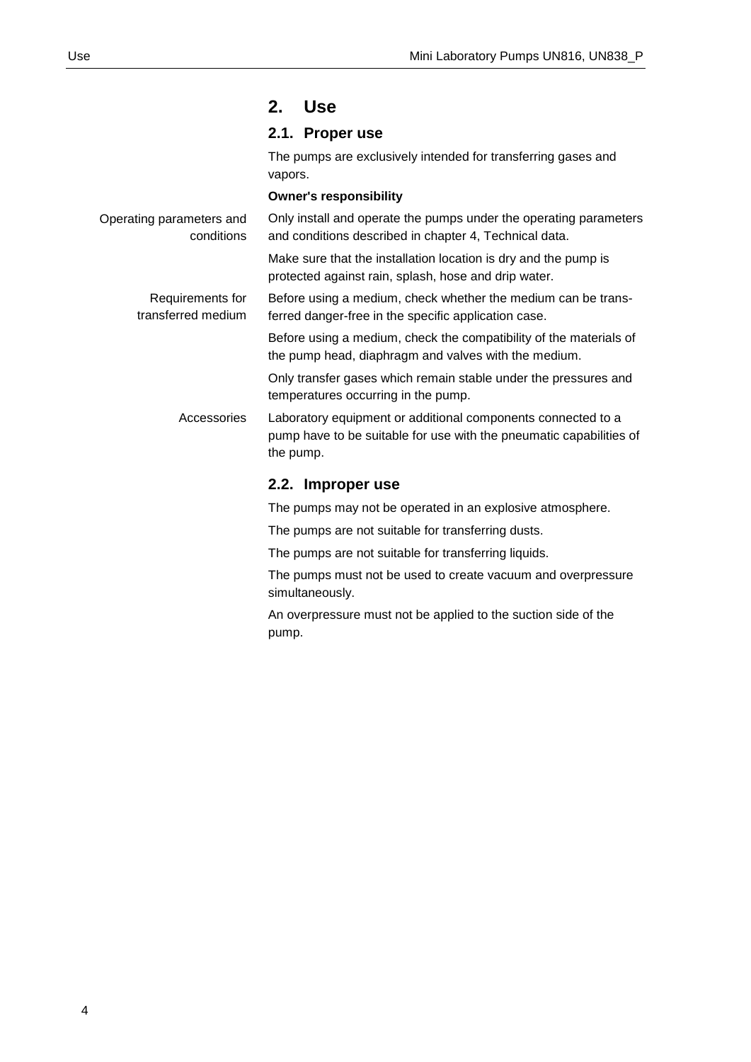<span id="page-3-0"></span>

|                                        | 2.        | <b>Use</b>                                                                                                                          |
|----------------------------------------|-----------|-------------------------------------------------------------------------------------------------------------------------------------|
|                                        |           | 2.1. Proper use                                                                                                                     |
|                                        | vapors.   | The pumps are exclusively intended for transferring gases and                                                                       |
|                                        |           | <b>Owner's responsibility</b>                                                                                                       |
| Operating parameters and<br>conditions |           | Only install and operate the pumps under the operating parameters<br>and conditions described in chapter 4, Technical data.         |
|                                        |           | Make sure that the installation location is dry and the pump is<br>protected against rain, splash, hose and drip water.             |
| Requirements for<br>transferred medium |           | Before using a medium, check whether the medium can be trans-<br>ferred danger-free in the specific application case.               |
|                                        |           | Before using a medium, check the compatibility of the materials of<br>the pump head, diaphragm and valves with the medium.          |
|                                        |           | Only transfer gases which remain stable under the pressures and<br>temperatures occurring in the pump.                              |
| Accessories                            | the pump. | Laboratory equipment or additional components connected to a<br>pump have to be suitable for use with the pneumatic capabilities of |
|                                        |           | 2.2. Improper use                                                                                                                   |
|                                        |           | The pumps may not be operated in an explosive atmosphere.                                                                           |
|                                        |           | The pumps are not suitable for transferring dusts.                                                                                  |

The pumps are not suitable for transferring liquids.

The pumps must not be used to create vacuum and overpressure simultaneously.

An overpressure must not be applied to the suction side of the pump.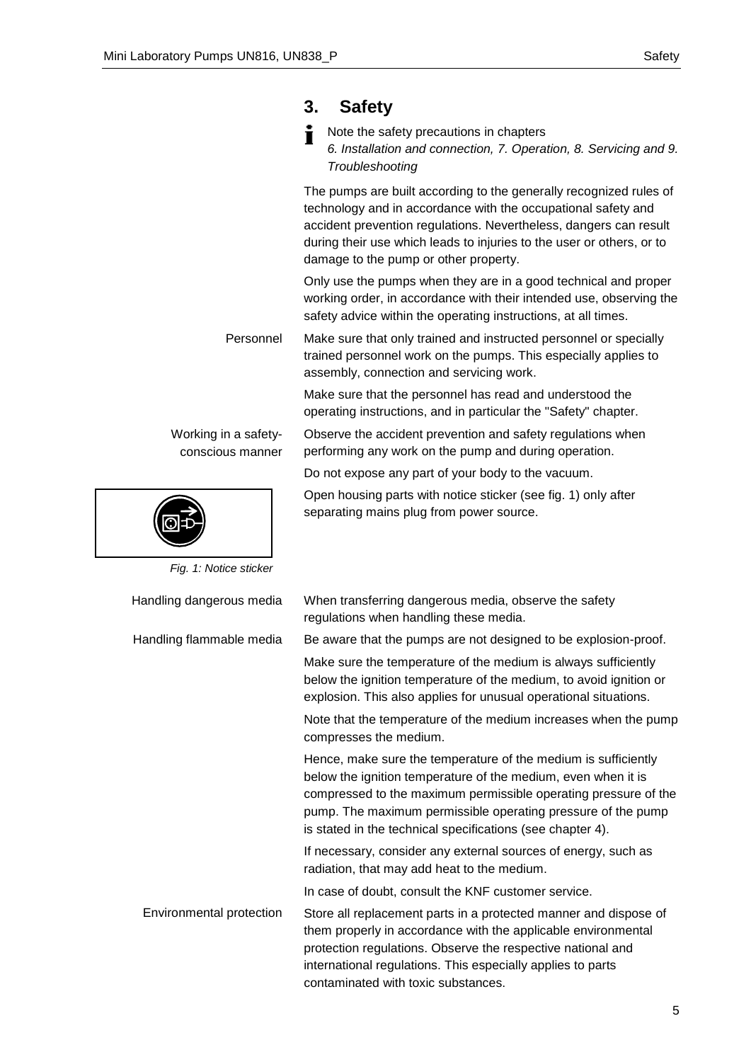### <span id="page-4-0"></span>**3. Safety**

Note the safety precautions in chapters Ť *6. Installation and connection, 7. Operation, 8. Servicing and 9. Troubleshooting*

The pumps are built according to the generally recognized rules of technology and in accordance with the occupational safety and accident prevention regulations. Nevertheless, dangers can result during their use which leads to injuries to the user or others, or to damage to the pump or other property.

Only use the pumps when they are in a good technical and proper working order, in accordance with their intended use, observing the safety advice within the operating instructions, at all times.

Make sure that only trained and instructed personnel or specially trained personnel work on the pumps. This especially applies to assembly, connection and servicing work. Personnel

> Make sure that the personnel has read and understood the operating instructions, and in particular the "Safety" chapter.

Observe the accident prevention and safety regulations when performing any work on the pump and during operation.

Do not expose any part of your body to the vacuum.

Open housing parts with notice sticker (see fig. 1) only after separating mains plug from power source.



*Fig. 1: Notice sticker*

Working in a safetyconscious manner

| Handling dangerous media | When transferring dangerous media, observe the safety<br>regulations when handling these media.                                                                                                                                                                                                                                  |
|--------------------------|----------------------------------------------------------------------------------------------------------------------------------------------------------------------------------------------------------------------------------------------------------------------------------------------------------------------------------|
| Handling flammable media | Be aware that the pumps are not designed to be explosion-proof.                                                                                                                                                                                                                                                                  |
|                          | Make sure the temperature of the medium is always sufficiently<br>below the ignition temperature of the medium, to avoid ignition or<br>explosion. This also applies for unusual operational situations.                                                                                                                         |
|                          | Note that the temperature of the medium increases when the pump<br>compresses the medium.                                                                                                                                                                                                                                        |
|                          | Hence, make sure the temperature of the medium is sufficiently<br>below the ignition temperature of the medium, even when it is<br>compressed to the maximum permissible operating pressure of the<br>pump. The maximum permissible operating pressure of the pump<br>is stated in the technical specifications (see chapter 4). |
|                          | If necessary, consider any external sources of energy, such as<br>radiation, that may add heat to the medium.                                                                                                                                                                                                                    |
|                          | In case of doubt, consult the KNF customer service.                                                                                                                                                                                                                                                                              |
| Environmental protection | Store all replacement parts in a protected manner and dispose of<br>them properly in accordance with the applicable environmental<br>protection regulations. Observe the respective national and<br>international regulations. This especially applies to parts<br>contaminated with toxic substances.                           |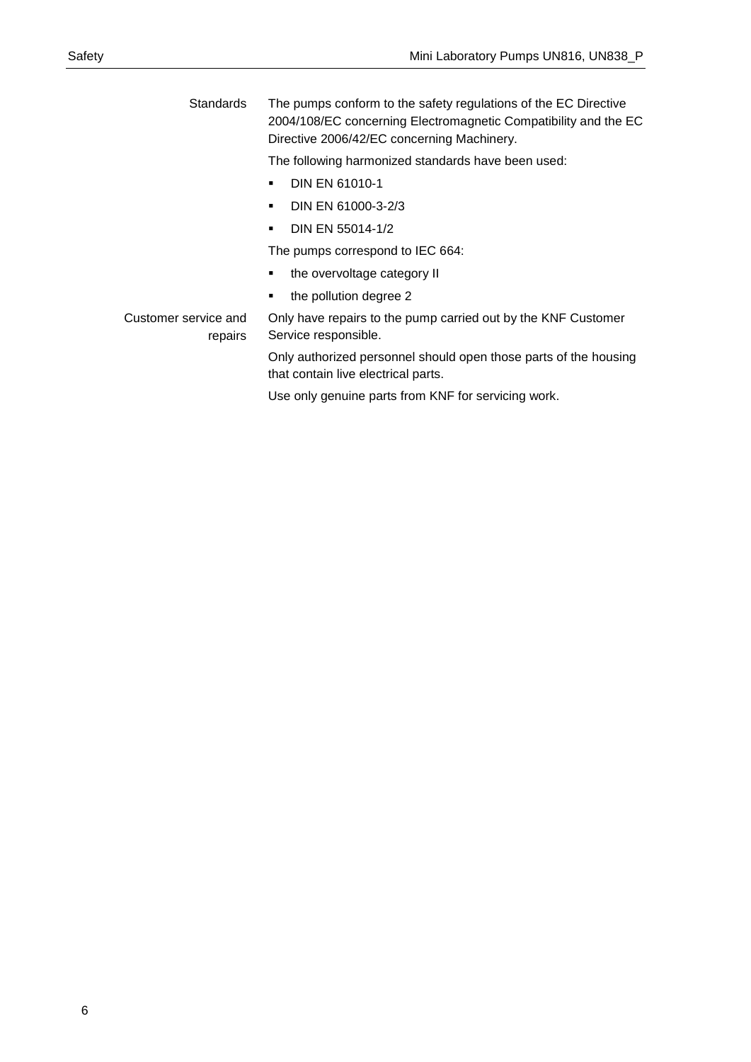The pumps conform to the safety regulations of the EC Directive 2004/108/EC concerning Electromagnetic Compatibility and the EC Directive 2006/42/EC concerning Machinery. **Standards** 

The following harmonized standards have been used:

- DIN EN 61010-1
- DIN EN 61000-3-2/3
- DIN EN 55014-1/2

The pumps correspond to IEC 664:

- the overvoltage category II
- the pollution degree 2

#### Customer service and repairs

Only have repairs to the pump carried out by the KNF Customer Service responsible.

Only authorized personnel should open those parts of the housing that contain live electrical parts.

Use only genuine parts from KNF for servicing work.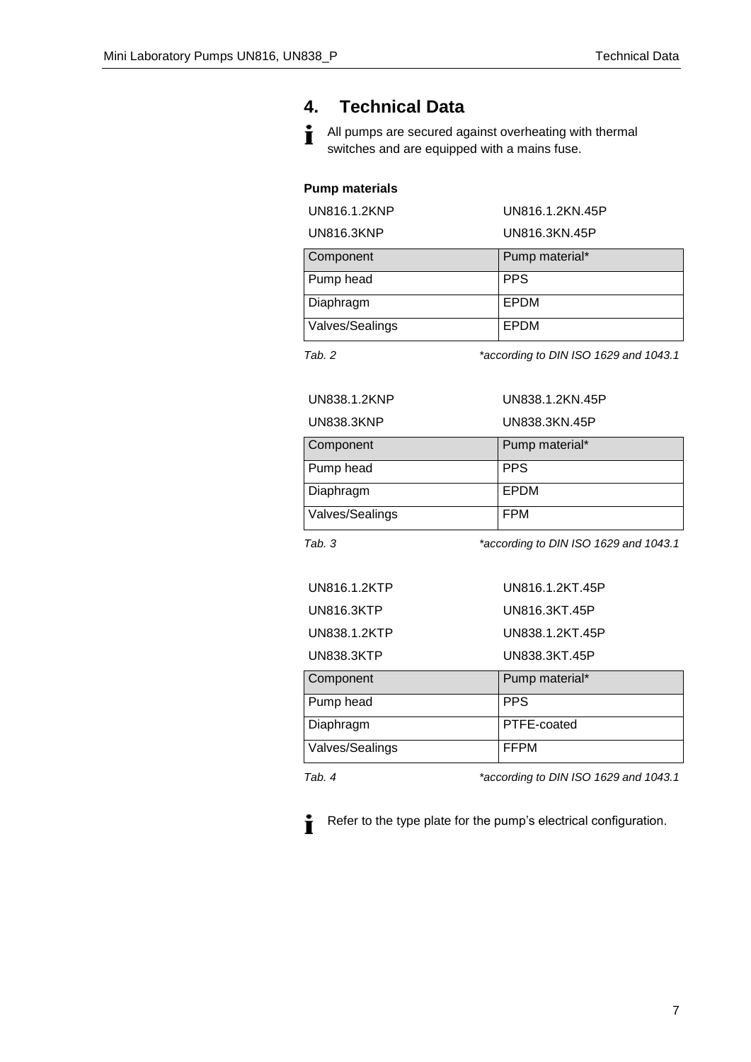## <span id="page-6-0"></span>**4. Technical Data**

All pumps are secured against overheating with thermal İ switches and are equipped with a mains fuse.

#### **Pump materials**

| UN816.1.2KNP      | UN816.1.2KN.45P                       |
|-------------------|---------------------------------------|
| <b>UN816.3KNP</b> | UN816.3KN.45P                         |
| Component         | Pump material*                        |
| Pump head         | <b>PPS</b>                            |
| Diaphragm         | <b>EPDM</b>                           |
| Valves/Sealings   | <b>EPDM</b>                           |
| Tab. 2            | *according to DIN ISO 1629 and 1043.1 |
| UN838.1.2KNP      | UN838.1.2KN.45P                       |
| <b>UN838.3KNP</b> | UN838.3KN.45P                         |
| Component         | Pump material*                        |
| Pump head         | <b>PPS</b>                            |
| Diaphragm         | <b>EPDM</b>                           |
| Valves/Sealings   | <b>FPM</b>                            |
| Tab.3             | *according to DIN ISO 1629 and 1043.1 |
| UN816.1.2KTP      | UN816.1.2KT.45P                       |
| <b>UN816.3KTP</b> | UN816.3KT.45P                         |
| UN838.1.2KTP      | UN838.1.2KT.45P                       |
| <b>UN838.3KTP</b> | UN838.3KT.45P                         |
| Component         | Pump material*                        |
| Pump head         | <b>PPS</b>                            |
| Diaphragm         | PTFE-coated                           |
| Valves/Sealings   | <b>FFPM</b>                           |

İ

*Tab. 4 \*according to DIN ISO 1629 and 1043.1*

Refer to the type plate for the pump's electrical configuration.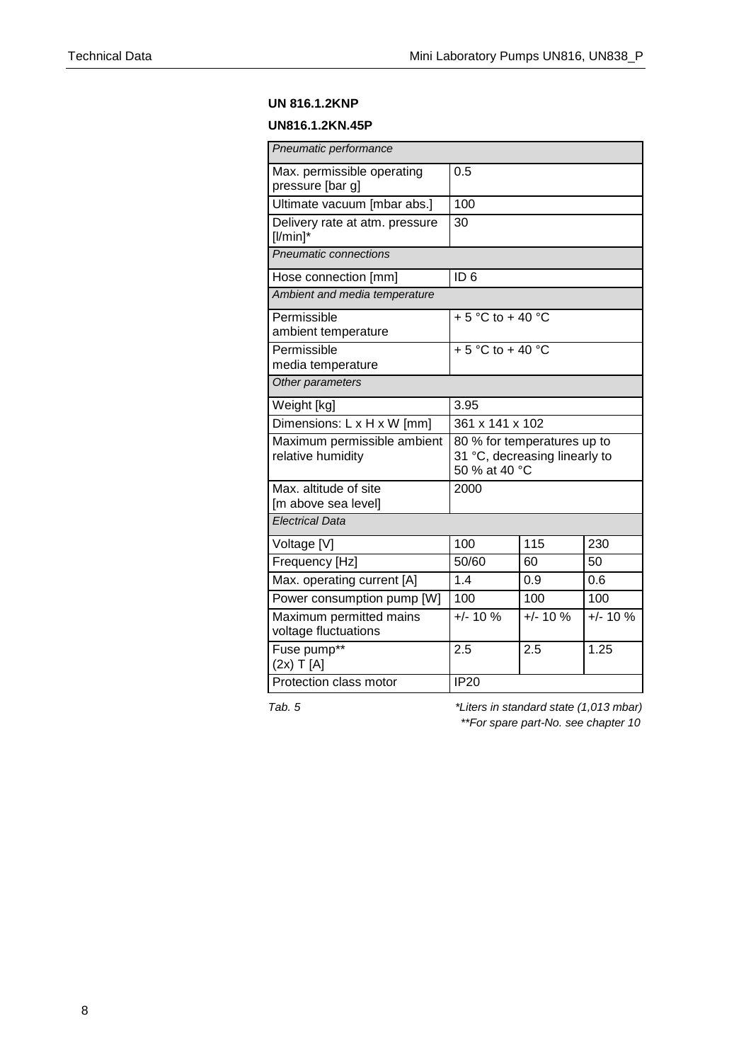#### **UN 816.1.2KNP**

#### **UN816.1.2KN.45P**

| Pneumatic performance                            |                                                                               |            |             |  |
|--------------------------------------------------|-------------------------------------------------------------------------------|------------|-------------|--|
| Max. permissible operating<br>pressure [bar g]   | 0.5                                                                           |            |             |  |
| Ultimate vacuum [mbar abs.]                      | 100                                                                           |            |             |  |
| Delivery rate at atm. pressure<br>$[1/min]$ *    | 30                                                                            |            |             |  |
| Pneumatic connections                            |                                                                               |            |             |  |
| Hose connection [mm]                             | ID <sub>6</sub>                                                               |            |             |  |
| Ambient and media temperature                    |                                                                               |            |             |  |
| Permissible<br>ambient temperature               | $+5$ °C to + 40 °C                                                            |            |             |  |
| Permissible<br>media temperature                 | + 5 °C to + 40 °C                                                             |            |             |  |
| Other parameters                                 |                                                                               |            |             |  |
| Weight [kg]                                      | 3.95                                                                          |            |             |  |
| Dimensions: L x H x W [mm]                       | 361 x 141 x 102                                                               |            |             |  |
| Maximum permissible ambient<br>relative humidity | 80 % for temperatures up to<br>31 °C, decreasing linearly to<br>50 % at 40 °C |            |             |  |
| Max. altitude of site<br>[m above sea level]     | 2000                                                                          |            |             |  |
| <b>Electrical Data</b>                           |                                                                               |            |             |  |
| Voltage [V]                                      | 100                                                                           | 115        | 230         |  |
| Frequency [Hz]                                   | 50/60                                                                         | 60         | 50          |  |
| Max. operating current [A]                       | 1.4                                                                           | 0.9        | 0.6         |  |
| Power consumption pump [W]                       | 100                                                                           | 100        | 100         |  |
| Maximum permitted mains<br>voltage fluctuations  | $+/- 10 %$                                                                    | $+/- 10 %$ | $+/- 10 \%$ |  |
| Fuse pump**<br>$(2x)$ T [A]                      | 2.5                                                                           | 2.5        | 1.25        |  |
| Protection class motor<br><b>IP20</b>            |                                                                               |            |             |  |
|                                                  |                                                                               |            |             |  |

*Tab. 5 \*Liters in standard state (1,013 mbar) \*\*For spare part-No. see chapter 10*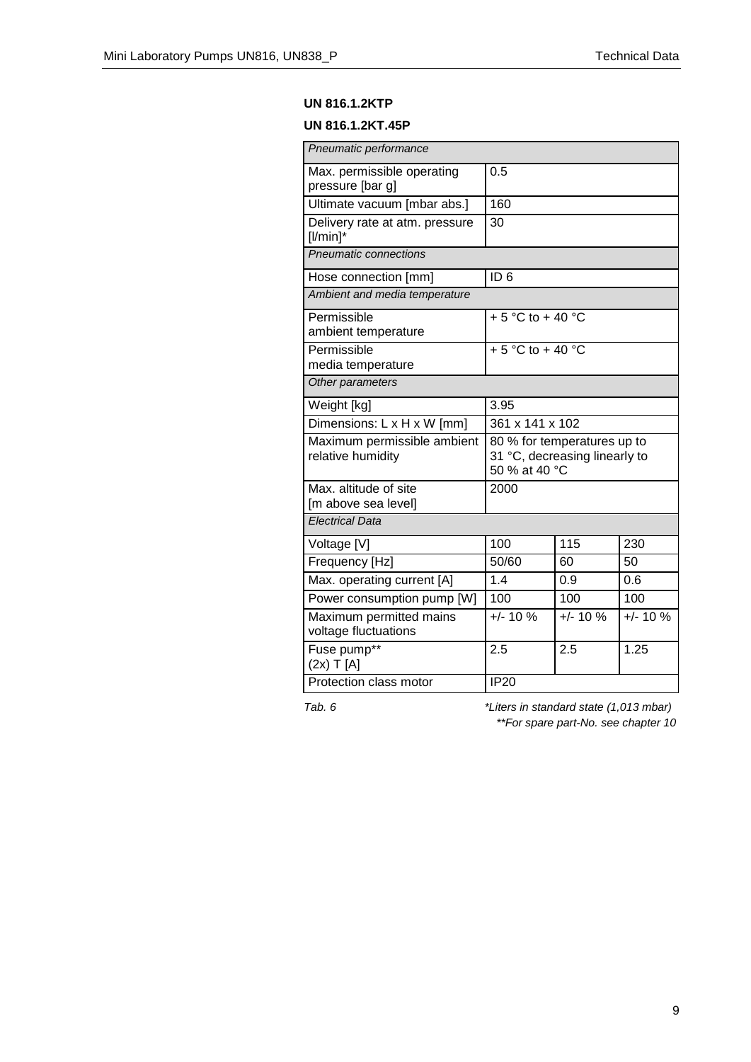#### **UN 816.1.2KTP**

#### **UN 816.1.2KT.45P**

| Pneumatic performance                            |                                                                               |             |             |  |
|--------------------------------------------------|-------------------------------------------------------------------------------|-------------|-------------|--|
| Max. permissible operating<br>pressure [bar g]   | 0.5                                                                           |             |             |  |
| Ultimate vacuum [mbar abs.]                      | 160                                                                           |             |             |  |
| Delivery rate at atm. pressure<br>$[1/min]$ *    | 30                                                                            |             |             |  |
| <b>Pneumatic connections</b>                     |                                                                               |             |             |  |
| Hose connection [mm]                             | ID <sub>6</sub>                                                               |             |             |  |
| Ambient and media temperature                    |                                                                               |             |             |  |
| Permissible<br>ambient temperature               | $+5$ °C to $+40$ °C                                                           |             |             |  |
| Permissible<br>media temperature                 | + 5 $^{\circ}$ C to + 40 $^{\circ}$ C                                         |             |             |  |
| Other parameters                                 |                                                                               |             |             |  |
| Weight [kg]                                      | 3.95                                                                          |             |             |  |
| Dimensions: L x H x W [mm]                       | 361 x 141 x 102                                                               |             |             |  |
| Maximum permissible ambient<br>relative humidity | 80 % for temperatures up to<br>31 °C, decreasing linearly to<br>50 % at 40 °C |             |             |  |
| Max. altitude of site<br>[m above sea level]     | 2000                                                                          |             |             |  |
| <b>Electrical Data</b>                           |                                                                               |             |             |  |
| Voltage [V]                                      | 100                                                                           | 115         | 230         |  |
| Frequency [Hz]                                   | 50/60                                                                         | 60          | 50          |  |
| Max. operating current [A]                       | 1.4                                                                           | 0.9         | 0.6         |  |
| Power consumption pump [W]                       | 100                                                                           | 100         | 100         |  |
| Maximum permitted mains<br>voltage fluctuations  | $+/- 10 \%$                                                                   | $+/- 10 \%$ | $+/- 10 \%$ |  |
| Fuse pump**<br>$(2x)$ T [A]                      | 2.5                                                                           | 2.5         | 1.25        |  |
| Protection class motor                           | <b>IP20</b>                                                                   |             |             |  |

*Tab. 6 \*Liters in standard state (1,013 mbar) \*\*For spare part-No. see chapter 10*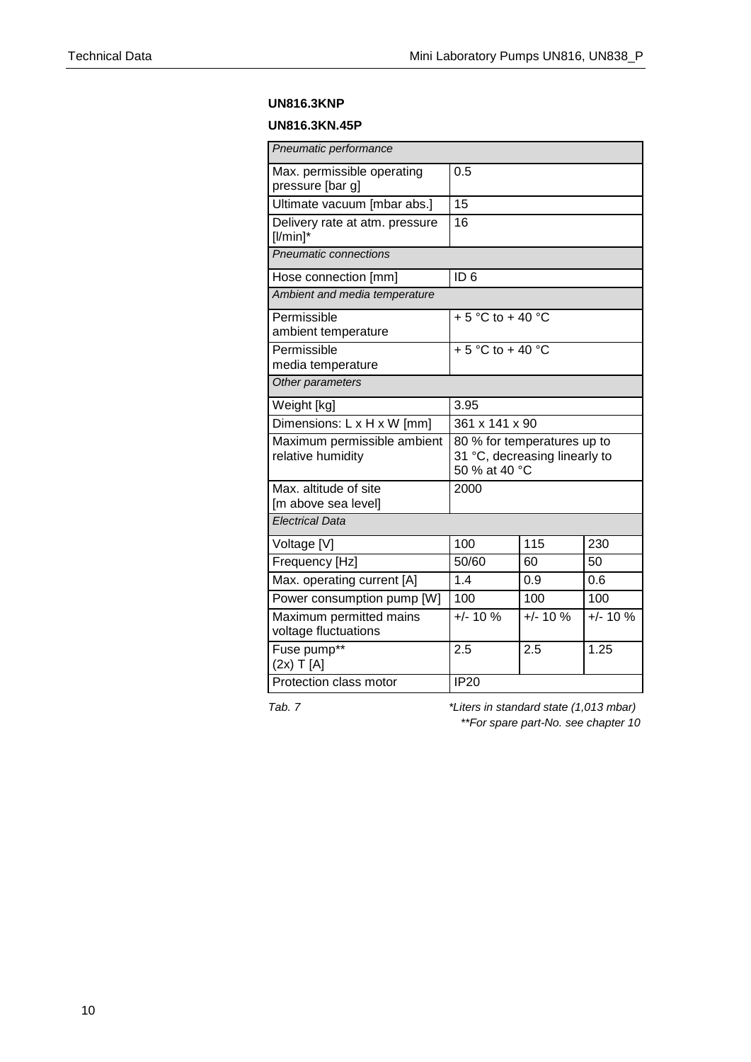#### **UN816.3KNP**

#### **UN816.3KN.45P**

| Pneumatic performance                            |                                                                               |             |             |  |  |
|--------------------------------------------------|-------------------------------------------------------------------------------|-------------|-------------|--|--|
| Max. permissible operating<br>pressure [bar g]   | 0.5                                                                           |             |             |  |  |
| Ultimate vacuum [mbar abs.]                      | 15                                                                            |             |             |  |  |
| Delivery rate at atm. pressure<br>$[1/min]$ *    | 16                                                                            |             |             |  |  |
| Pneumatic connections                            |                                                                               |             |             |  |  |
| Hose connection [mm]                             | ID <sub>6</sub>                                                               |             |             |  |  |
| Ambient and media temperature                    |                                                                               |             |             |  |  |
| Permissible<br>ambient temperature               | $+5$ °C to + 40 °C                                                            |             |             |  |  |
| Permissible<br>media temperature                 | $+5^{\circ}$ C to +40 $^{\circ}$ C                                            |             |             |  |  |
| Other parameters                                 |                                                                               |             |             |  |  |
| Weight [kg]                                      | 3.95                                                                          |             |             |  |  |
| Dimensions: L x H x W [mm]                       | 361 x 141 x 90                                                                |             |             |  |  |
| Maximum permissible ambient<br>relative humidity | 80 % for temperatures up to<br>31 °C, decreasing linearly to<br>50 % at 40 °C |             |             |  |  |
| Max. altitude of site<br>[m above sea level]     | 2000                                                                          |             |             |  |  |
| <b>Electrical Data</b>                           |                                                                               |             |             |  |  |
| Voltage [V]                                      | 100                                                                           | 115         | 230         |  |  |
| Frequency [Hz]                                   | 50/60                                                                         | 60          | 50          |  |  |
| Max. operating current [A]                       | 1.4                                                                           | 0.9         | 0.6         |  |  |
| Power consumption pump [W]                       | 100                                                                           | 100         | 100         |  |  |
| Maximum permitted mains<br>voltage fluctuations  | $+/- 10 \%$                                                                   | $+/- 10 \%$ | $+/- 10 \%$ |  |  |
| Fuse pump**<br>$(2x)$ T [A]                      | 2.5                                                                           | 2.5         | 1.25        |  |  |
| Protection class motor                           | <b>IP20</b>                                                                   |             |             |  |  |

*Tab. 7 \*Liters in standard state (1,013 mbar) \*\*For spare part-No. see chapter 10*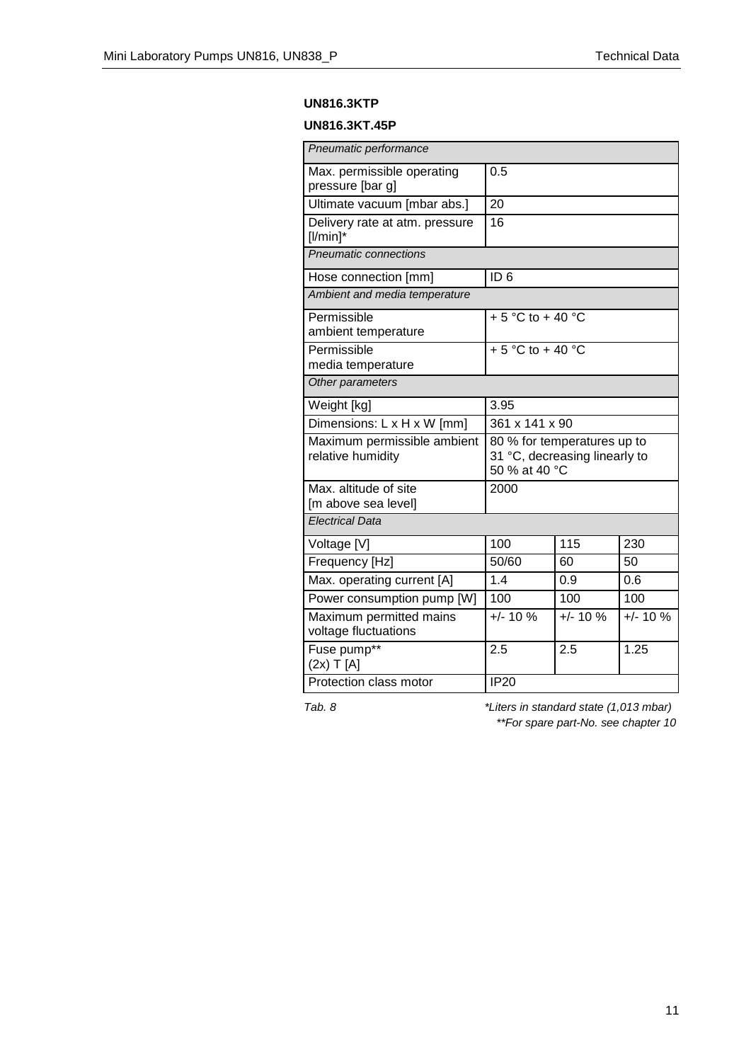#### **UN816.3KTP**

#### **UN816.3KT.45P**

| Pneumatic performance                            |                                                                               |                   |             |  |  |
|--------------------------------------------------|-------------------------------------------------------------------------------|-------------------|-------------|--|--|
| Max. permissible operating<br>pressure [bar g]   | 0.5                                                                           |                   |             |  |  |
| Ultimate vacuum [mbar abs.]                      | 20                                                                            |                   |             |  |  |
| Delivery rate at atm. pressure<br>$[1/min]$ *    | 16                                                                            |                   |             |  |  |
| Pneumatic connections                            |                                                                               |                   |             |  |  |
| Hose connection [mm]                             | ID <sub>6</sub>                                                               |                   |             |  |  |
| Ambient and media temperature                    |                                                                               |                   |             |  |  |
| Permissible<br>ambient temperature               | $+5 °C$ to $+ 40 °C$                                                          |                   |             |  |  |
| Permissible<br>media temperature                 |                                                                               | + 5 °C to + 40 °C |             |  |  |
| Other parameters                                 |                                                                               |                   |             |  |  |
| Weight [kg]                                      | 3.95                                                                          |                   |             |  |  |
| Dimensions: L x H x W [mm]                       | 361 x 141 x 90                                                                |                   |             |  |  |
| Maximum permissible ambient<br>relative humidity | 80 % for temperatures up to<br>31 °C, decreasing linearly to<br>50 % at 40 °C |                   |             |  |  |
| Max. altitude of site<br>[m above sea level]     | 2000                                                                          |                   |             |  |  |
| <b>Electrical Data</b>                           |                                                                               |                   |             |  |  |
| Voltage [V]                                      | 100                                                                           | 115               | 230         |  |  |
| Frequency [Hz]                                   | 50/60                                                                         | 60                | 50          |  |  |
| Max. operating current [A]                       | 1.4                                                                           | 0.9               | 0.6         |  |  |
| Power consumption pump [W]                       | 100                                                                           | 100               | 100         |  |  |
| Maximum permitted mains<br>voltage fluctuations  | $+/- 10 \%$                                                                   | $+/- 10 \%$       | $+/- 10 \%$ |  |  |
| Fuse pump**<br>$(2x)$ T [A]                      | 2.5                                                                           | 2.5               | 1.25        |  |  |
| Protection class motor                           | <b>IP20</b>                                                                   |                   |             |  |  |

*Tab. 8 \*Liters in standard state (1,013 mbar) \*\*For spare part-No. see chapter 10*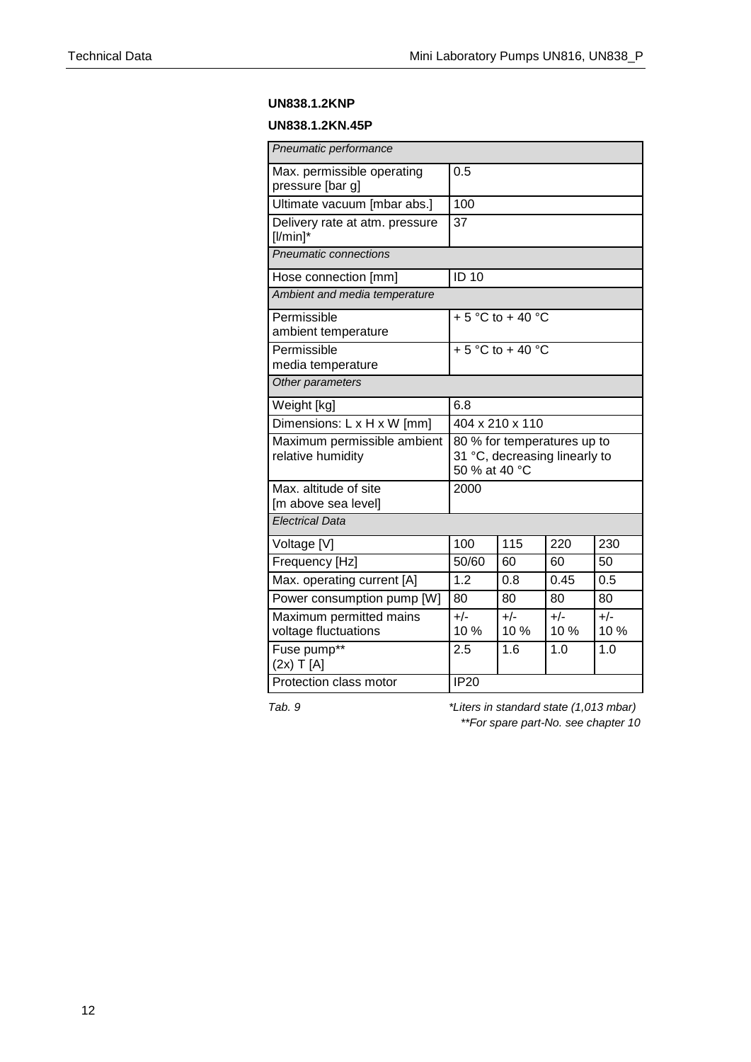#### **UN838.1.2KNP**

#### **UN838.1.2KN.45P**

| Pneumatic performance                            |                                                                               |                                       |              |               |  |
|--------------------------------------------------|-------------------------------------------------------------------------------|---------------------------------------|--------------|---------------|--|
| Max. permissible operating<br>pressure [bar g]   | 0.5                                                                           |                                       |              |               |  |
| Ultimate vacuum [mbar abs.]                      | 100                                                                           |                                       |              |               |  |
| Delivery rate at atm. pressure<br>$[1/min]$ *    | 37                                                                            |                                       |              |               |  |
| Pneumatic connections                            |                                                                               |                                       |              |               |  |
| Hose connection [mm]                             | <b>ID 10</b>                                                                  |                                       |              |               |  |
| Ambient and media temperature                    |                                                                               |                                       |              |               |  |
| Permissible<br>ambient temperature               |                                                                               | + 5 $^{\circ}$ C to + 40 $^{\circ}$ C |              |               |  |
| Permissible<br>media temperature                 | $+5$ °C to $+40$ °C                                                           |                                       |              |               |  |
| Other parameters                                 |                                                                               |                                       |              |               |  |
| Weight [kg]                                      | 6.8                                                                           |                                       |              |               |  |
| Dimensions: L x H x W [mm]                       | 404 x 210 x 110                                                               |                                       |              |               |  |
| Maximum permissible ambient<br>relative humidity | 80 % for temperatures up to<br>31 °C, decreasing linearly to<br>50 % at 40 °C |                                       |              |               |  |
| Max. altitude of site<br>[m above sea level]     | 2000                                                                          |                                       |              |               |  |
| <b>Electrical Data</b>                           |                                                                               |                                       |              |               |  |
| Voltage [V]                                      | 100                                                                           | 115                                   | 220          | 230           |  |
| Frequency [Hz]                                   | 50/60                                                                         | 60                                    | 60           | 50            |  |
| Max. operating current [A]                       | 1.2                                                                           | 0.8                                   | 0.45         | 0.5           |  |
| Power consumption pump [W]                       | 80                                                                            | 80                                    | 80           | 80            |  |
| Maximum permitted mains<br>voltage fluctuations  | $+/-$<br>10%                                                                  | $+/-$<br>10%                          | $+/-$<br>10% | $+/-$<br>10 % |  |
| Fuse pump**<br>$(2x)$ T [A]                      | 2.5                                                                           | 1.6                                   | 1.0          | 1.0           |  |
| Protection class motor<br><b>IP20</b>            |                                                                               |                                       |              |               |  |
|                                                  |                                                                               |                                       |              |               |  |

*Tab. 9 \*Liters in standard state (1,013 mbar) \*\*For spare part-No. see chapter 10*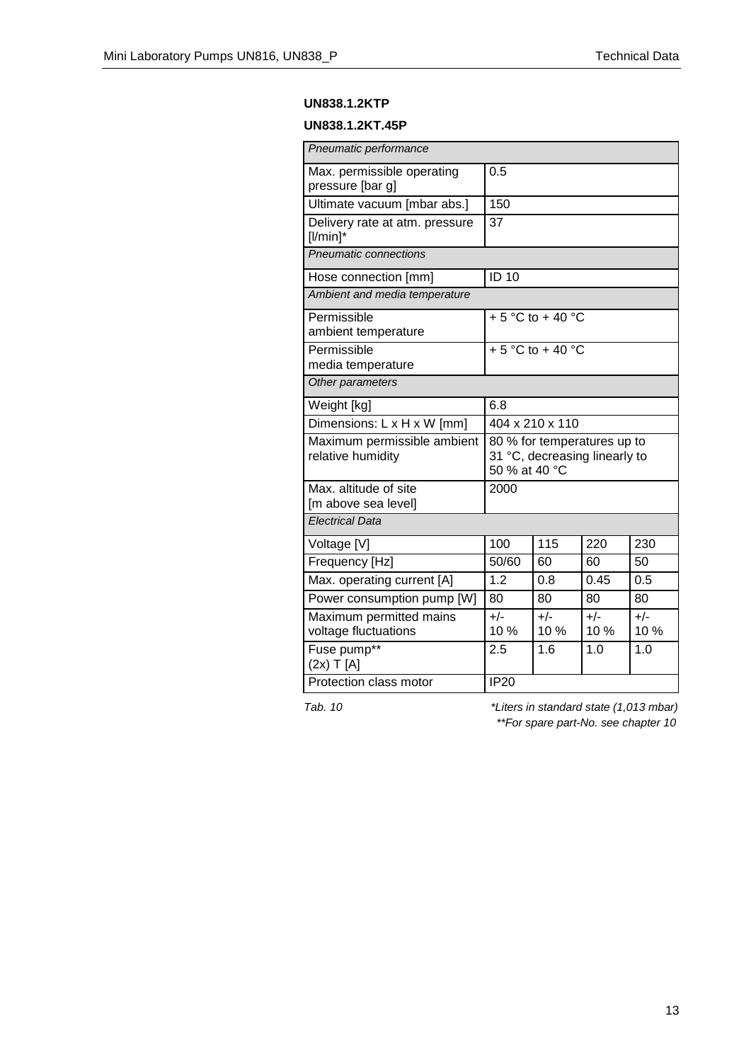#### **UN838.1.2KTP**

#### **UN838.1.2KT.45P**

| Pneumatic performance                            |                                                                               |                     |               |              |  |  |
|--------------------------------------------------|-------------------------------------------------------------------------------|---------------------|---------------|--------------|--|--|
| Max. permissible operating<br>pressure [bar g]   | 0.5                                                                           |                     |               |              |  |  |
| Ultimate vacuum [mbar abs.]                      | 150                                                                           |                     |               |              |  |  |
| Delivery rate at atm. pressure<br>$[1/min]$ *    | 37                                                                            |                     |               |              |  |  |
| Pneumatic connections                            |                                                                               |                     |               |              |  |  |
| Hose connection [mm]                             | <b>ID 10</b>                                                                  |                     |               |              |  |  |
| Ambient and media temperature                    |                                                                               |                     |               |              |  |  |
| Permissible<br>ambient temperature               |                                                                               | $+5$ °C to $+40$ °C |               |              |  |  |
| Permissible<br>media temperature                 | + 5 $^{\circ}$ C to + 40 $^{\circ}$ C                                         |                     |               |              |  |  |
| Other parameters                                 |                                                                               |                     |               |              |  |  |
| Weight [kg]                                      | 6.8                                                                           |                     |               |              |  |  |
| Dimensions: L x H x W [mm]                       | 404 x 210 x 110                                                               |                     |               |              |  |  |
| Maximum permissible ambient<br>relative humidity | 80 % for temperatures up to<br>31 °C, decreasing linearly to<br>50 % at 40 °C |                     |               |              |  |  |
| Max. altitude of site<br>[m above sea level]     | 2000                                                                          |                     |               |              |  |  |
| <b>Electrical Data</b>                           |                                                                               |                     |               |              |  |  |
| Voltage [V]                                      | 100                                                                           | 115                 | 220           | 230          |  |  |
| Frequency [Hz]                                   | 50/60                                                                         | 60                  | 60            | 50           |  |  |
| Max. operating current [A]                       | 1.2                                                                           | 0.8                 | 0.45          | 0.5          |  |  |
| Power consumption pump [W]                       | 80                                                                            | 80                  | 80            | 80           |  |  |
| Maximum permitted mains<br>voltage fluctuations  | $+/-$<br>10%                                                                  | $+/-$<br>10%        | $+/-$<br>10 % | $+/-$<br>10% |  |  |
| Fuse pump**<br>$(2x)$ T [A]                      | 2.5                                                                           | 1.6                 | 1.0           | 1.0          |  |  |
| Protection class motor                           | <b>IP20</b>                                                                   |                     |               |              |  |  |

*Tab. 10 \*Liters in standard state (1,013 mbar) \*\*For spare part-No. see chapter 10*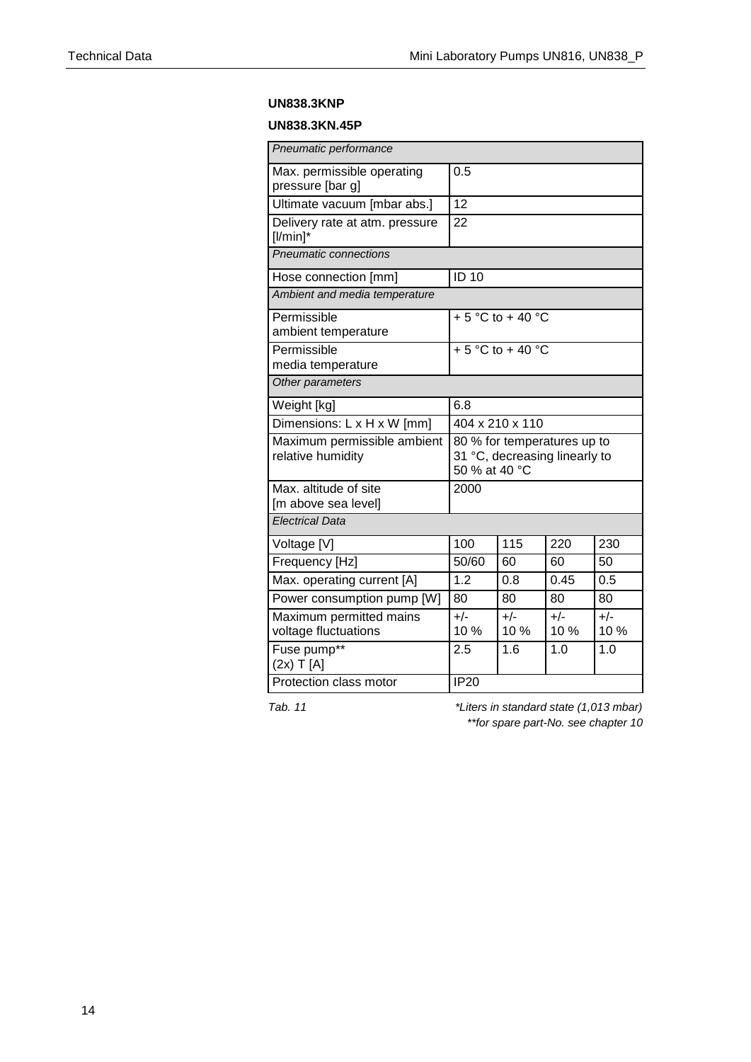#### **UN838.3KNP**

#### **UN838.3KN.45P**

| Pneumatic performance                                 |                                                                               |                                       |              |               |
|-------------------------------------------------------|-------------------------------------------------------------------------------|---------------------------------------|--------------|---------------|
| Max. permissible operating<br>0.5<br>pressure [bar g] |                                                                               |                                       |              |               |
| Ultimate vacuum [mbar abs.]                           | 12                                                                            |                                       |              |               |
| Delivery rate at atm. pressure<br>$[1/min]$ *         | 22                                                                            |                                       |              |               |
| Pneumatic connections                                 |                                                                               |                                       |              |               |
| Hose connection [mm]                                  | <b>ID 10</b>                                                                  |                                       |              |               |
| Ambient and media temperature                         |                                                                               |                                       |              |               |
| Permissible<br>ambient temperature                    |                                                                               | + 5 $^{\circ}$ C to + 40 $^{\circ}$ C |              |               |
| Permissible<br>media temperature                      | $+5$ °C to $+40$ °C                                                           |                                       |              |               |
| Other parameters                                      |                                                                               |                                       |              |               |
| Weight [kg]                                           | 6.8                                                                           |                                       |              |               |
| Dimensions: L x H x W [mm]                            | 404 x 210 x 110                                                               |                                       |              |               |
| Maximum permissible ambient<br>relative humidity      | 80 % for temperatures up to<br>31 °C, decreasing linearly to<br>50 % at 40 °C |                                       |              |               |
| Max. altitude of site<br>[m above sea level]          | 2000                                                                          |                                       |              |               |
| <b>Electrical Data</b>                                |                                                                               |                                       |              |               |
| Voltage [V]                                           | 100                                                                           | 115                                   | 220          | 230           |
| Frequency [Hz]                                        | 50/60                                                                         | 60                                    | 60           | 50            |
| Max. operating current [A]                            | 1.2                                                                           | 0.8                                   | 0.45         | 0.5           |
| Power consumption pump [W]                            | 80                                                                            | 80                                    | 80           | 80            |
| Maximum permitted mains<br>voltage fluctuations       | $+/-$<br>10 %                                                                 | $+/-$<br>10%                          | $+/-$<br>10% | $+/-$<br>10 % |
| Fuse pump**<br>$(2x)$ T [A]                           | 2.5                                                                           | 1.6                                   | 1.0          | 1.0           |
| Protection class motor<br><b>IP20</b>                 |                                                                               |                                       |              |               |

*Tab. 11 \*Liters in standard state (1,013 mbar) \*\*for spare part-No. see chapter 10*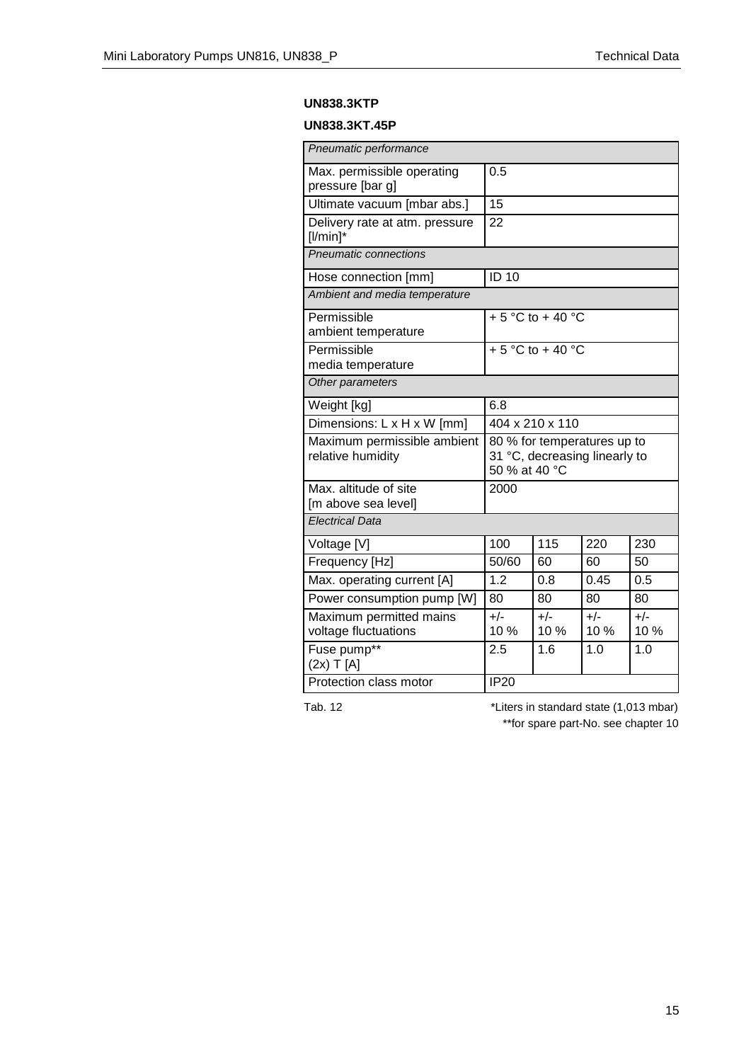#### **UN838.3KTP**

#### **UN838.3KT.45P**

| Pneumatic performance                                 |                                                                               |                   |               |              |
|-------------------------------------------------------|-------------------------------------------------------------------------------|-------------------|---------------|--------------|
| Max. permissible operating<br>0.5<br>pressure [bar g] |                                                                               |                   |               |              |
| Ultimate vacuum [mbar abs.]                           | 15                                                                            |                   |               |              |
| Delivery rate at atm. pressure<br>$[1/min]$ *         | 22                                                                            |                   |               |              |
| Pneumatic connections                                 |                                                                               |                   |               |              |
| Hose connection [mm]                                  | <b>ID 10</b>                                                                  |                   |               |              |
| Ambient and media temperature                         |                                                                               |                   |               |              |
| Permissible<br>ambient temperature                    |                                                                               | + 5 °C to + 40 °C |               |              |
| Permissible<br>media temperature                      | $+5$ °C to $+40$ °C                                                           |                   |               |              |
| Other parameters                                      |                                                                               |                   |               |              |
| Weight [kg]                                           | 6.8                                                                           |                   |               |              |
| Dimensions: L x H x W [mm]                            | 404 x 210 x 110                                                               |                   |               |              |
| Maximum permissible ambient<br>relative humidity      | 80 % for temperatures up to<br>31 °C, decreasing linearly to<br>50 % at 40 °C |                   |               |              |
| Max. altitude of site<br>[m above sea level]          | 2000                                                                          |                   |               |              |
| <b>Electrical Data</b>                                |                                                                               |                   |               |              |
| Voltage [V]                                           | 100                                                                           | 115               | 220           | 230          |
| Frequency [Hz]                                        | 50/60                                                                         | 60                | 60            | 50           |
| Max. operating current [A]                            | 1.2                                                                           | 0.8               | 0.45          | 0.5          |
| Power consumption pump [W]                            | 80                                                                            | 80                | 80            | 80           |
| Maximum permitted mains<br>voltage fluctuations       | $+/-$<br>10 %                                                                 | $+/-$<br>10 %     | $+/-$<br>10 % | $+/-$<br>10% |
| Fuse pump**<br>$(2x)$ T [A]                           | 2.5                                                                           | 1.6               | 1.0           | 1.0          |
| Protection class motor<br><b>IP20</b>                 |                                                                               |                   |               |              |

Tab. 12 **Tab. 12** \*Liters in standard state (1,013 mbar) \*\*for spare part-No. see chapter 10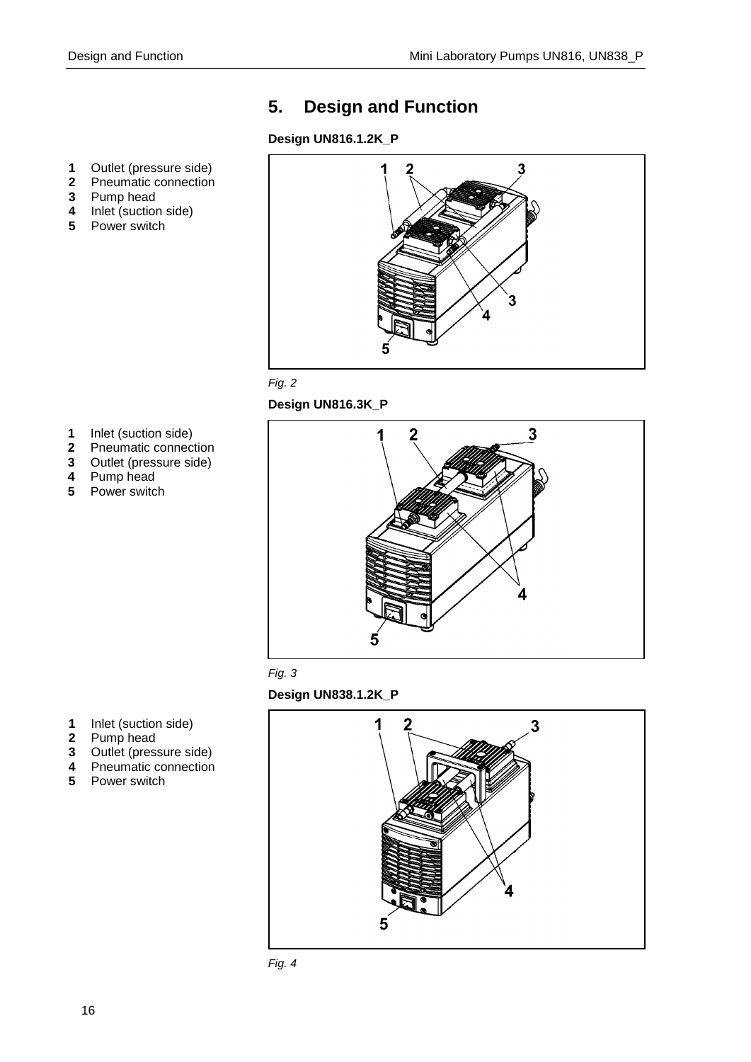# <span id="page-15-0"></span>**5. Design and Function**

### **Design UN816.1.2K\_P**

- 1 Outlet (pressure side)<br>2 Pneumatic connection
- **2** Pneumatic connection
- **3** Pump head
- **4** Inlet (suction side)
- **5** Power switch





### **Design UN816.3K\_P**

- **1** Inlet (suction side)<br>**2** Pneumatic connec
- **2** Pneumatic connection
- **3** Outlet (pressure side)
- **4** Pump head
- **5** Power switch





**Design UN838.1.2K\_P**

- **1** Inlet (suction side)
- **2** Pump head<br>**3** Outlet (press
- **3** Outlet (pressure side)
- **4** Pneumatic connection<br>**5** Power switch
- **5** Power switch

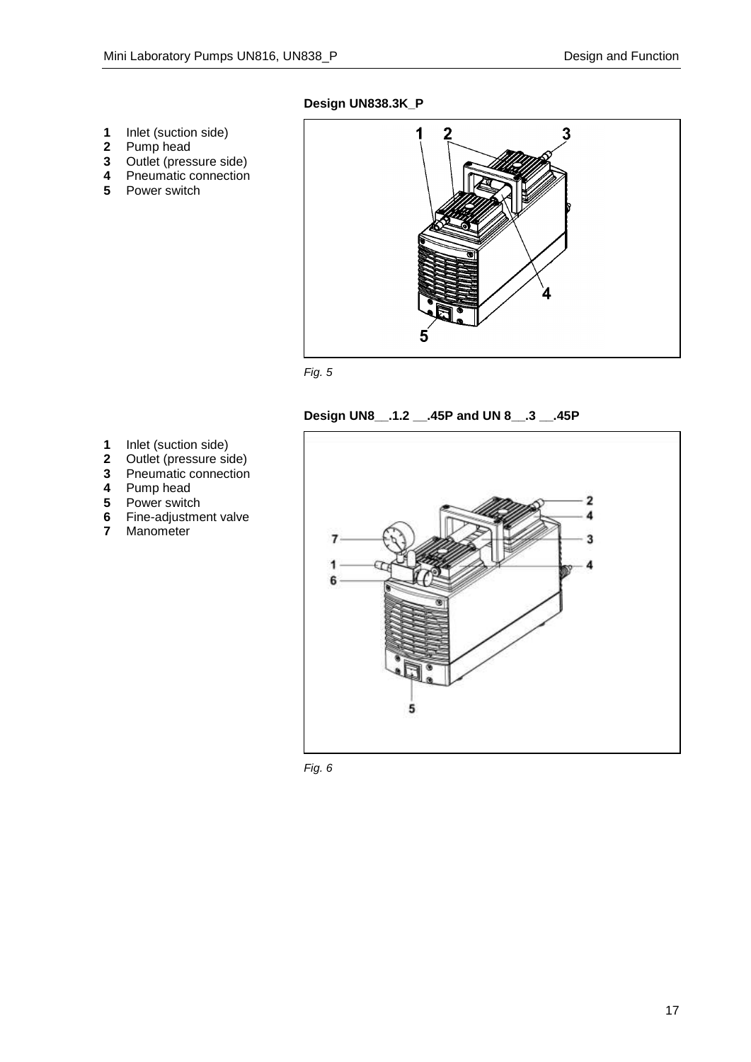#### **Design UN838.3K\_P**

- **1** Inlet (suction side)<br>**2** Pump head
- **2** Pump head<br>**3** Outlet (press
- **3** Outlet (pressure side)
- 4 Pneumatic connection<br>5 Power switch
- **5** Power switch



*Fig. 5* 

**Design UN8\_\_.1.2 \_\_.45P and UN 8\_\_.3 \_\_.45P**

- **1** Inlet (suction side)<br>**2** Outlet (pressure side
- 2 Outlet (pressure side)<br>3 Pneumatic connection
- **Pneumatic connection**
- **4** Pump head
- **5** Power switch<br>**6** Fine-adjustme
- **6** Fine-adjustment valve<br>**7** Manometer
- **7** Manometer



*Fig. 6*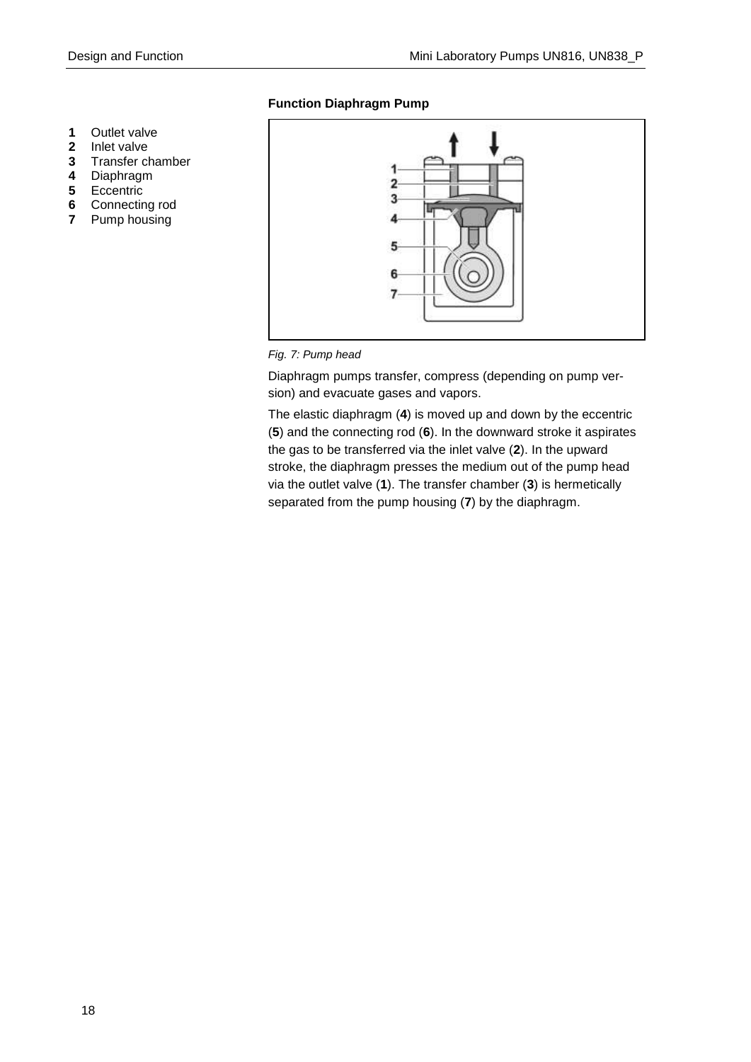#### **Function Diaphragm Pump**

- **1** Outlet valve<br>**2** Inlet valve
- **2** Inlet valve<br>**3** Transfer cl
- **3** Transfer chamber
- **4** Diaphragm
- **5** Eccentric
- **6** Connecting rod
- **7** Pump housing



*Fig. 7: Pump head*

Diaphragm pumps transfer, compress (depending on pump version) and evacuate gases and vapors.

The elastic diaphragm (**4**) is moved up and down by the eccentric (**5**) and the connecting rod (**6**). In the downward stroke it aspirates the gas to be transferred via the inlet valve (**2**). In the upward stroke, the diaphragm presses the medium out of the pump head via the outlet valve (**1**). The transfer chamber (**3**) is hermetically separated from the pump housing (**7**) by the diaphragm.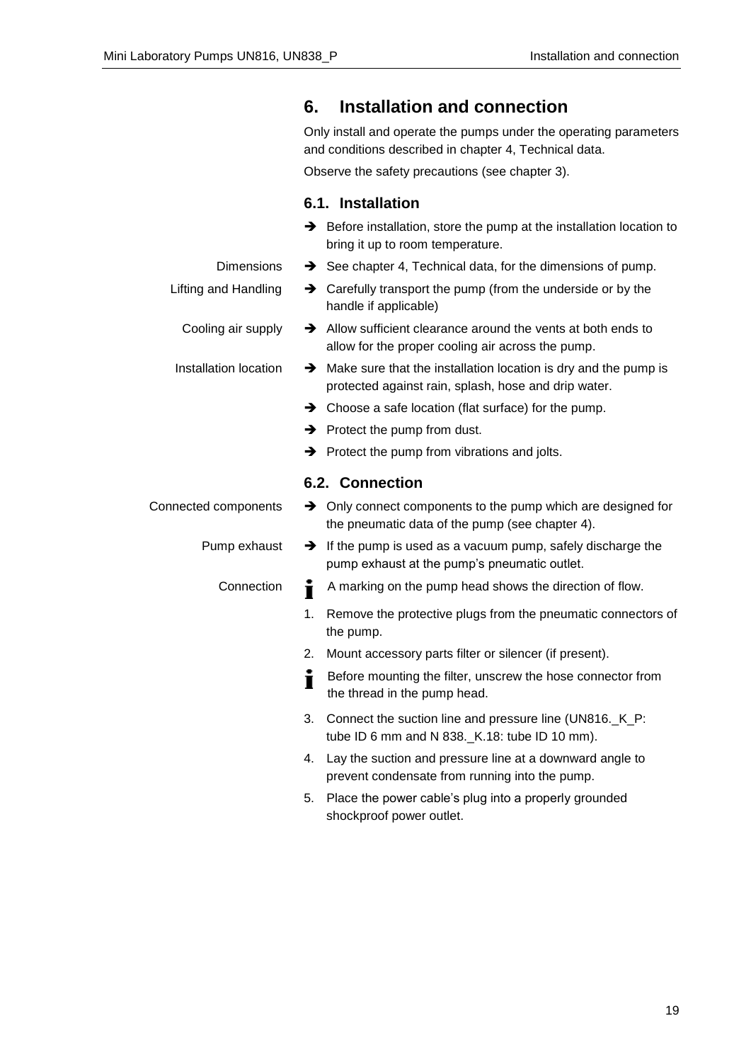### <span id="page-18-0"></span>**6. Installation and connection**

Only install and operate the pumps under the operating parameters and conditions described in chapter 4, Technical data.

Observe the safety precautions (see chapter 3).

#### **6.1. Installation**

- $\rightarrow$  Before installation, store the pump at the installation location to bring it up to room temperature.
- $\rightarrow$  See chapter 4, Technical data, for the dimensions of pump.
	- **→** Carefully transport the pump (from the underside or by the handle if applicable)
	- $\rightarrow$  Allow sufficient clearance around the vents at both ends to allow for the proper cooling air across the pump.
	- $\rightarrow$  Make sure that the installation location is dry and the pump is protected against rain, splash, hose and drip water.
	- $\rightarrow$  Choose a safe location (flat surface) for the pump.
	- $\rightarrow$  Protect the pump from dust.
	- $\rightarrow$  Protect the pump from vibrations and jolts.

#### **6.2. Connection**

 $\rightarrow$  Only connect components to the pump which are designed for the pneumatic data of the pump (see chapter 4). Connected components

Pump exhaust

**Dimensions** 

Lifting and Handling

Cooling air supply

Installation location

**Connection** 

A marking on the pump head shows the direction of flow. Ť

 $\rightarrow$  If the pump is used as a vacuum pump, safely discharge the

- 1. Remove the protective plugs from the pneumatic connectors of the pump.
- 2. Mount accessory parts filter or silencer (if present).

pump exhaust at the pump's pneumatic outlet.

- Before mounting the filter, unscrew the hose connector from T the thread in the pump head.
- 3. Connect the suction line and pressure line (UN816.\_K\_P: tube ID 6 mm and N 838.\_K.18: tube ID 10 mm).
- 4. Lay the suction and pressure line at a downward angle to prevent condensate from running into the pump.
- 5. Place the power cable's plug into a properly grounded shockproof power outlet.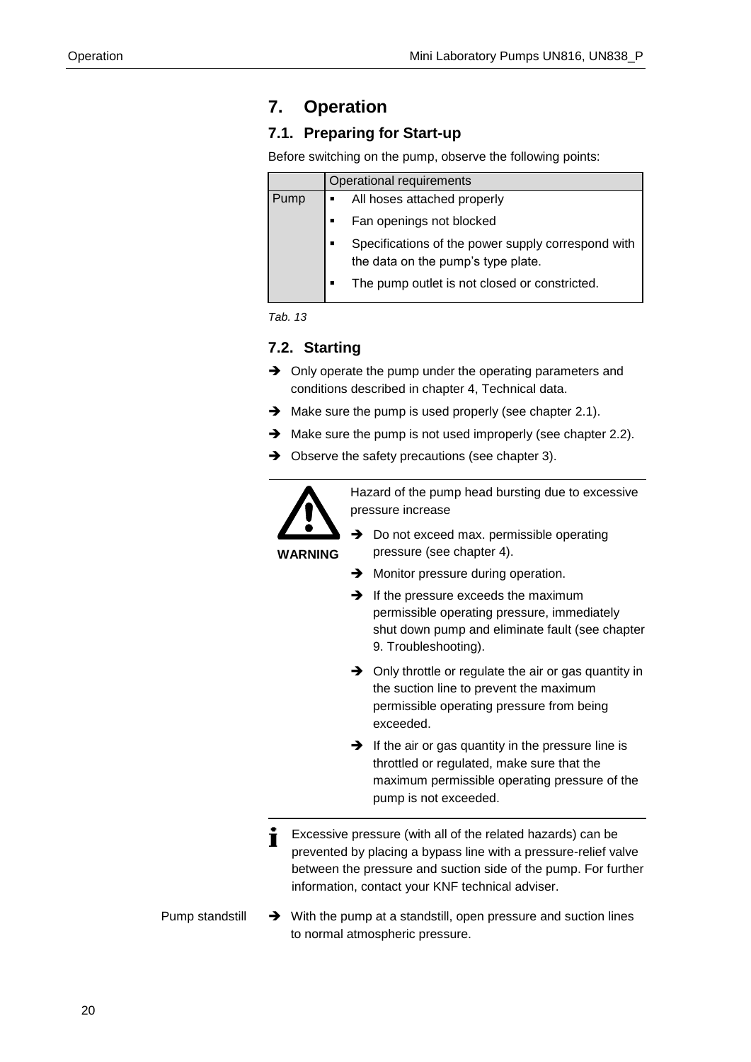### <span id="page-19-0"></span>**7. Operation**

### **7.1. Preparing for Start-up**

Before switching on the pump, observe the following points:

|      | Operational requirements                                                                 |  |
|------|------------------------------------------------------------------------------------------|--|
| Pump | All hoses attached properly                                                              |  |
|      | Fan openings not blocked                                                                 |  |
|      | Specifications of the power supply correspond with<br>the data on the pump's type plate. |  |
|      | The pump outlet is not closed or constricted.                                            |  |

*Tab. 13*

### **7.2. Starting**

- $\rightarrow$  Only operate the pump under the operating parameters and conditions described in chapter 4, Technical data.
- $\rightarrow$  Make sure the pump is used properly (see chapter 2.1).
- $\rightarrow$  Make sure the pump is not used improperly (see chapter 2.2).
- $\rightarrow$  Observe the safety precautions (see chapter 3).



Hazard of the pump head bursting due to excessive pressure increase

 $\rightarrow$  Do not exceed max. permissible operating pressure (see chapter 4).

- $\rightarrow$  Monitor pressure during operation.
- $\rightarrow$  If the pressure exceeds the maximum permissible operating pressure, immediately shut down pump and eliminate fault (see chapter 9. Troubleshooting).
- $\rightarrow$  Only throttle or regulate the air or gas quantity in the suction line to prevent the maximum permissible operating pressure from being exceeded.
- $\rightarrow$  If the air or gas quantity in the pressure line is throttled or regulated, make sure that the maximum permissible operating pressure of the pump is not exceeded.
- Excessive pressure (with all of the related hazards) can be Ť prevented by placing a bypass line with a pressure-relief valve between the pressure and suction side of the pump. For further information, contact your KNF technical adviser.

#### → With the pump at a standstill, open pressure and suction lines to normal atmospheric pressure. Pump standstill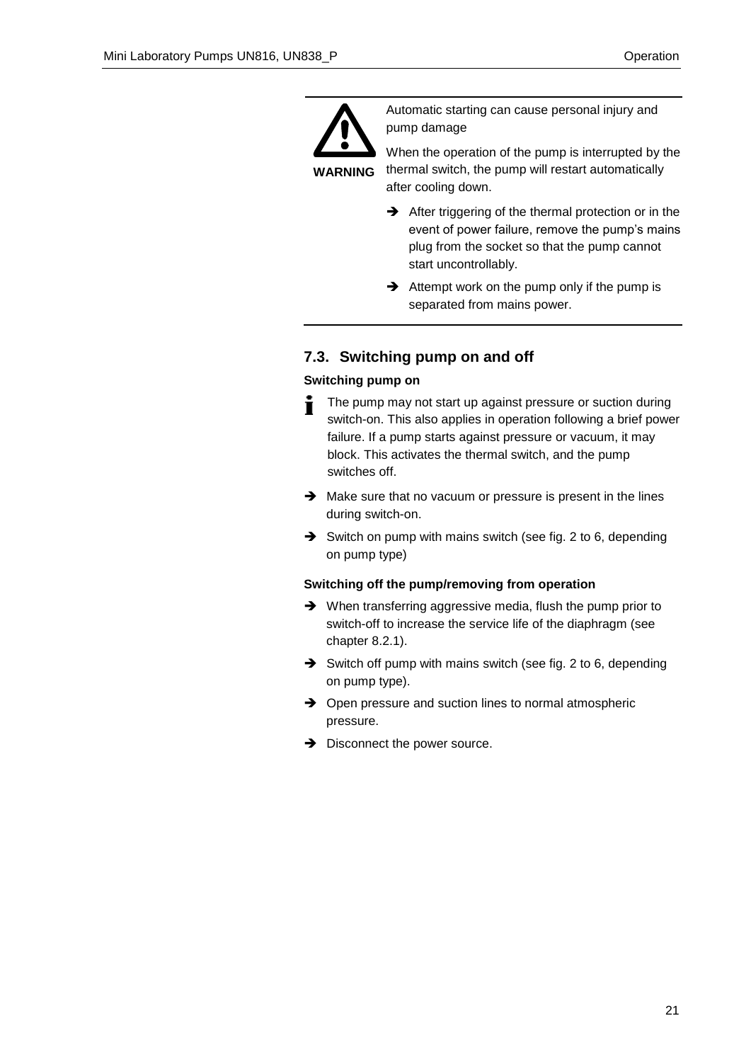

Automatic starting can cause personal injury and pump damage

When the operation of the pump is interrupted by the thermal switch, the pump will restart automatically after cooling down.

- $\rightarrow$  After triggering of the thermal protection or in the event of power failure, remove the pump's mains plug from the socket so that the pump cannot start uncontrollably.
- $\rightarrow$  Attempt work on the pump only if the pump is separated from mains power.

### **7.3. Switching pump on and off**

#### **Switching pump on**

- The pump may not start up against pressure or suction during Ť switch-on. This also applies in operation following a brief power failure. If a pump starts against pressure or vacuum, it may block. This activates the thermal switch, and the pump switches off.
- $\rightarrow$  Make sure that no vacuum or pressure is present in the lines during switch-on.
- $\rightarrow$  Switch on pump with mains switch (see fig. 2 to 6, depending on pump type)

#### **Switching off the pump/removing from operation**

- → When transferring aggressive media, flush the pump prior to switch-off to increase the service life of the diaphragm (see chapter 8.2.1).
- $\rightarrow$  Switch off pump with mains switch (see fig. 2 to 6, depending on pump type).
- $\rightarrow$  Open pressure and suction lines to normal atmospheric pressure.
- $\rightarrow$  Disconnect the power source.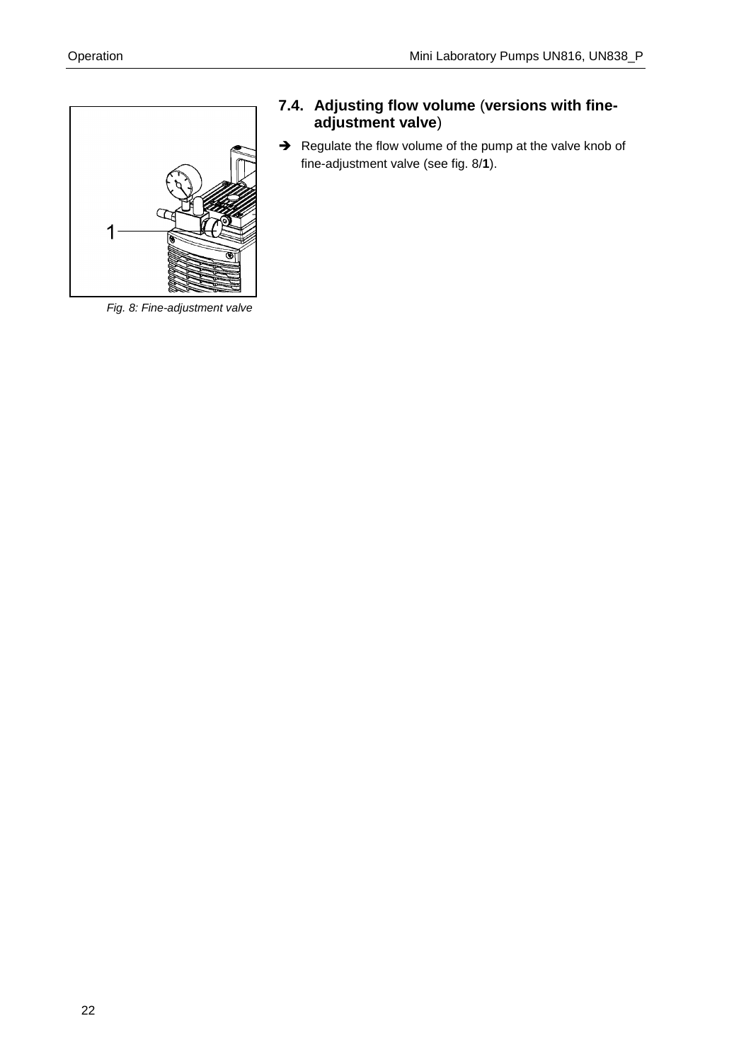

*Fig. 8: Fine-adjustment valve*

### **7.4. Adjusting flow volume** (**versions with fineadjustment valve**)

 $\rightarrow$  Regulate the flow volume of the pump at the valve knob of fine-adjustment valve (see fig. 8/**1**).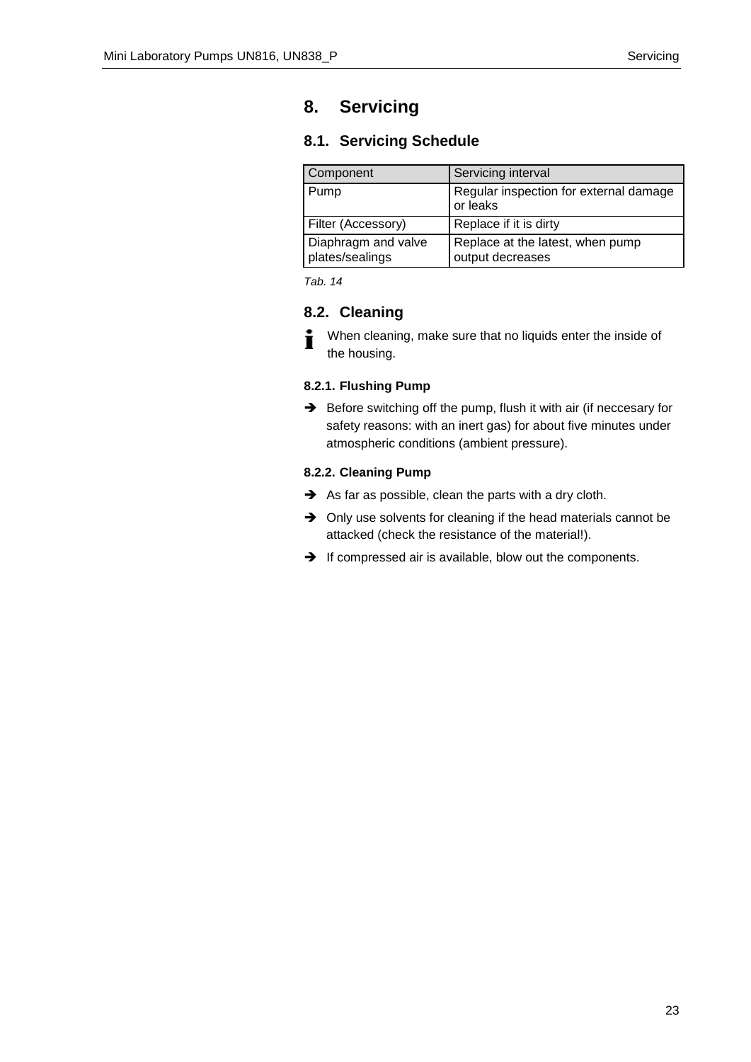## <span id="page-22-0"></span>**8. Servicing**

### **8.1. Servicing Schedule**

| Component                              | Servicing interval                                   |
|----------------------------------------|------------------------------------------------------|
| Pump                                   | Regular inspection for external damage<br>or leaks   |
| Filter (Accessory)                     | Replace if it is dirty                               |
| Diaphragm and valve<br>plates/sealings | Replace at the latest, when pump<br>output decreases |

*Tab. 14*

#### **8.2. Cleaning**

İ When cleaning, make sure that no liquids enter the inside of the housing.

#### **8.2.1. Flushing Pump**

 $\rightarrow$  Before switching off the pump, flush it with air (if neccesary for safety reasons: with an inert gas) for about five minutes under atmospheric conditions (ambient pressure).

#### **8.2.2. Cleaning Pump**

- $\rightarrow$  As far as possible, clean the parts with a dry cloth.
- $\rightarrow$  Only use solvents for cleaning if the head materials cannot be attacked (check the resistance of the material!).
- $\rightarrow$  If compressed air is available, blow out the components.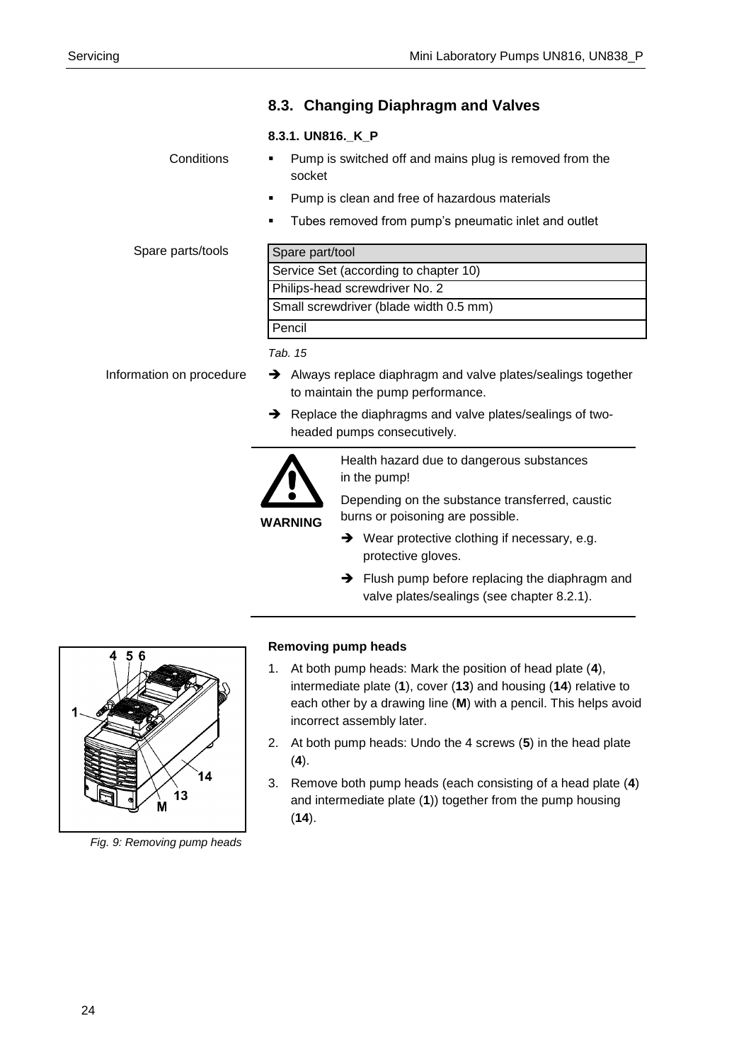|                          | 8.3. Changing Diaphragm and Valves                                                               |  |  |
|--------------------------|--------------------------------------------------------------------------------------------------|--|--|
|                          | 8.3.1. UN816. KP                                                                                 |  |  |
| Conditions               | Pump is switched off and mains plug is removed from the<br>٠<br>socket                           |  |  |
|                          | Pump is clean and free of hazardous materials<br>٠                                               |  |  |
|                          | Tubes removed from pump's pneumatic inlet and outlet<br>٠                                        |  |  |
| Spare parts/tools        | Spare part/tool                                                                                  |  |  |
|                          | Service Set (according to chapter 10)                                                            |  |  |
|                          | Philips-head screwdriver No. 2                                                                   |  |  |
|                          | Small screwdriver (blade width 0.5 mm)                                                           |  |  |
|                          | Pencil                                                                                           |  |  |
|                          | Tab. 15                                                                                          |  |  |
| Information on procedure | Always replace diaphragm and valve plates/sealings together<br>to maintain the pump performance. |  |  |
|                          | Replace the diaphragms and valve plates/sealings of two-<br>→<br>headed pumps consecutively.     |  |  |
|                          | Health hazard due to dangerous substances<br>in the pump!                                        |  |  |
|                          | Depending on the substance transferred, caustic<br>burns or poisoning are possible.<br>WARNING   |  |  |

- → Wear protective clothing if necessary, e.g. protective gloves.
- $\rightarrow$  Flush pump before replacing the diaphragm and valve plates/sealings (see chapter 8.2.1).



*Fig. 9: Removing pump heads*

#### **Removing pump heads**

- 1. At both pump heads: Mark the position of head plate (**4**), intermediate plate (**1**), cover (**13**) and housing (**14**) relative to each other by a drawing line (**M**) with a pencil. This helps avoid incorrect assembly later.
- 2. At both pump heads: Undo the 4 screws (**5**) in the head plate (**4**).
- 3. Remove both pump heads (each consisting of a head plate (**4**) and intermediate plate (**1**)) together from the pump housing (**14**).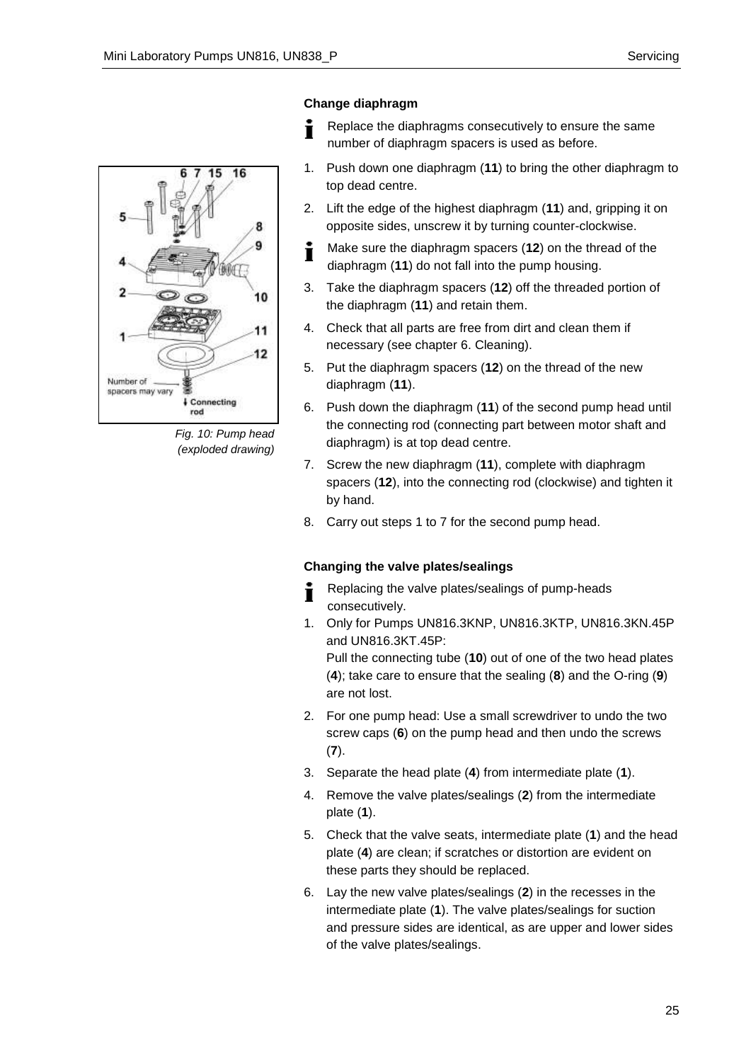

*Fig. 10: Pump head (exploded drawing)*

#### **Change diaphragm**

- Replace the diaphragms consecutively to ensure the same Ī number of diaphragm spacers is used as before.
- 1. Push down one diaphragm (**11**) to bring the other diaphragm to top dead centre.
- 2. Lift the edge of the highest diaphragm (**11**) and, gripping it on opposite sides, unscrew it by turning counter-clockwise.
- Make sure the diaphragm spacers (**12**) on the thread of the Ť diaphragm (**11**) do not fall into the pump housing.
- 3. Take the diaphragm spacers (**12**) off the threaded portion of the diaphragm (**11**) and retain them.
- 4. Check that all parts are free from dirt and clean them if necessary (see chapter 6. Cleaning).
- 5. Put the diaphragm spacers (**12**) on the thread of the new diaphragm (**11**).
- 6. Push down the diaphragm (**11**) of the second pump head until the connecting rod (connecting part between motor shaft and diaphragm) is at top dead centre.
- 7. Screw the new diaphragm (**11**), complete with diaphragm spacers (**12**), into the connecting rod (clockwise) and tighten it by hand.
- 8. Carry out steps 1 to 7 for the second pump head.

#### **Changing the valve plates/sealings**

- Replacing the valve plates/sealings of pump-heads Ť consecutively.
- 1. Only for Pumps UN816.3KNP, UN816.3KTP, UN816.3KN.45P and UN816.3KT.45P: Pull the connecting tube (**10**) out of one of the two head plates

(**4**); take care to ensure that the sealing (**8**) and the O-ring (**9**) are not lost.

- 2. For one pump head: Use a small screwdriver to undo the two screw caps (**6**) on the pump head and then undo the screws (**7**).
- 3. Separate the head plate (**4**) from intermediate plate (**1**).
- 4. Remove the valve plates/sealings (**2**) from the intermediate plate (**1**).
- 5. Check that the valve seats, intermediate plate (**1**) and the head plate (**4**) are clean; if scratches or distortion are evident on these parts they should be replaced.
- 6. Lay the new valve plates/sealings (**2**) in the recesses in the intermediate plate (**1**). The valve plates/sealings for suction and pressure sides are identical, as are upper and lower sides of the valve plates/sealings.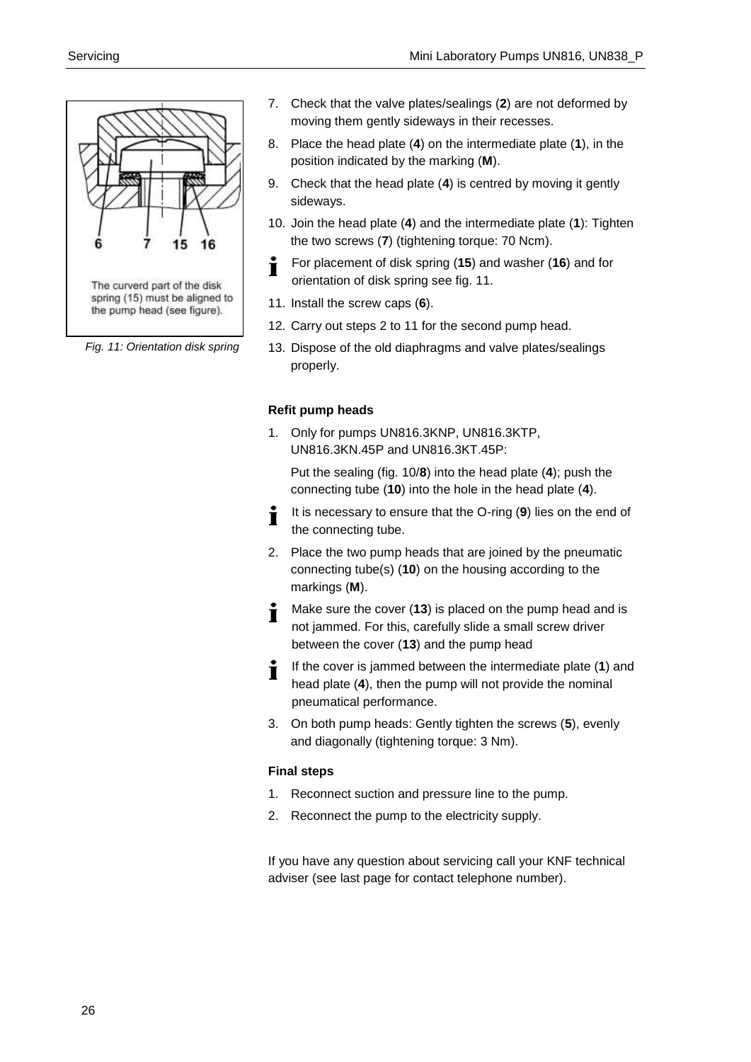

*Fig. 11: Orientation disk spring*

- 7. Check that the valve plates/sealings (**2**) are not deformed by moving them gently sideways in their recesses.
- 8. Place the head plate (**4**) on the intermediate plate (**1**), in the position indicated by the marking (**M**).
- 9. Check that the head plate (**4**) is centred by moving it gently sideways.
- 10. Join the head plate (**4**) and the intermediate plate (**1**): Tighten the two screws (**7**) (tightening torque: 70 Ncm).
- For placement of disk spring (**15**) and washer (**16**) and for Ť orientation of disk spring see fig. 11.
- 11. Install the screw caps (**6**).
- 12. Carry out steps 2 to 11 for the second pump head.
- 13. Dispose of the old diaphragms and valve plates/sealings properly.

#### **Refit pump heads**

1. Only for pumps UN816.3KNP, UN816.3KTP, UN816.3KN.45P and UN816.3KT.45P:

Put the sealing (fig. 10/**8**) into the head plate (**4**); push the connecting tube (**10**) into the hole in the head plate (**4**).

- It is necessary to ensure that the O-ring (**9**) lies on the end of Ť the connecting tube.
- 2. Place the two pump heads that are joined by the pneumatic connecting tube(s) (**10**) on the housing according to the markings (**M**).
- Make sure the cover (**13**) is placed on the pump head and is Т not jammed. For this, carefully slide a small screw driver between the cover (**13**) and the pump head
- If the cover is jammed between the intermediate plate (**1**) and Ť head plate (**4**), then the pump will not provide the nominal pneumatical performance.
- 3. On both pump heads: Gently tighten the screws (**5**), evenly and diagonally (tightening torque: 3 Nm).

#### **Final steps**

- 1. Reconnect suction and pressure line to the pump.
- 2. Reconnect the pump to the electricity supply.

If you have any question about servicing call your KNF technical adviser (see last page for contact telephone number).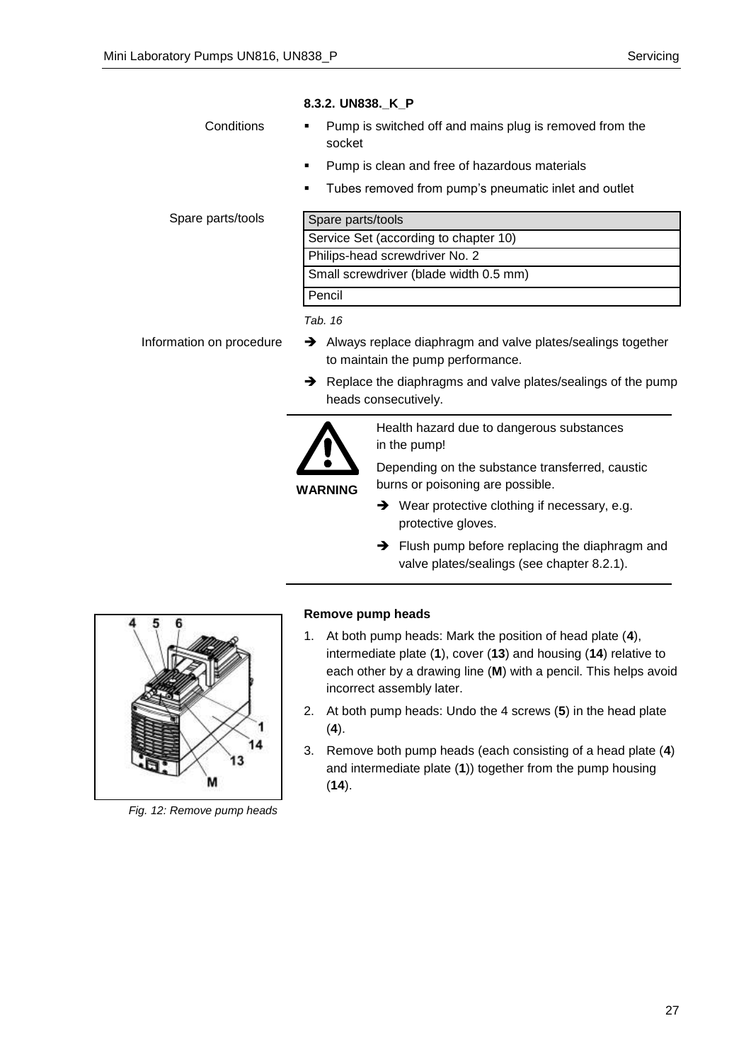removed from the

#### **8.3.2. UN838.\_K\_P**

| Conditions | $\mathbf{E}$ . | Pump is switched off and mains plug is removed from the<br>socket |
|------------|----------------|-------------------------------------------------------------------|
|            |                | • Pump is clean and free of hazardous materials                   |
|            |                | Tubes removed from pump's pneumatic inlet and outlet              |
|            |                |                                                                   |

| Spare parts/tools                      |  |
|----------------------------------------|--|
| Service Set (according to chapter 10)  |  |
| Philips-head screwdriver No. 2         |  |
| Small screwdriver (blade width 0.5 mm) |  |
| Pencil                                 |  |

#### *Tab. 16*

Information on procedure

Spare parts/tools

Always replace diaphragm and valve plates/sealings together to maintain the pump performance.

 $\rightarrow$  Replace the diaphragms and valve plates/sealings of the pump heads consecutively.



Health hazard due to dangerous substances in the pump!

Depending on the substance transferred, caustic burns or poisoning are possible.

- → Wear protective clothing if necessary, e.g. protective gloves.
- $\rightarrow$  Flush pump before replacing the diaphragm and valve plates/sealings (see chapter 8.2.1).



*Fig. 12: Remove pump heads*

#### **Remove pump heads**

- 1. At both pump heads: Mark the position of head plate (**4**), intermediate plate (**1**), cover (**13**) and housing (**14**) relative to each other by a drawing line (**M**) with a pencil. This helps avoid incorrect assembly later.
- 2. At both pump heads: Undo the 4 screws (**5**) in the head plate (**4**).
- 3. Remove both pump heads (each consisting of a head plate (**4**) and intermediate plate (**1**)) together from the pump housing (**14**).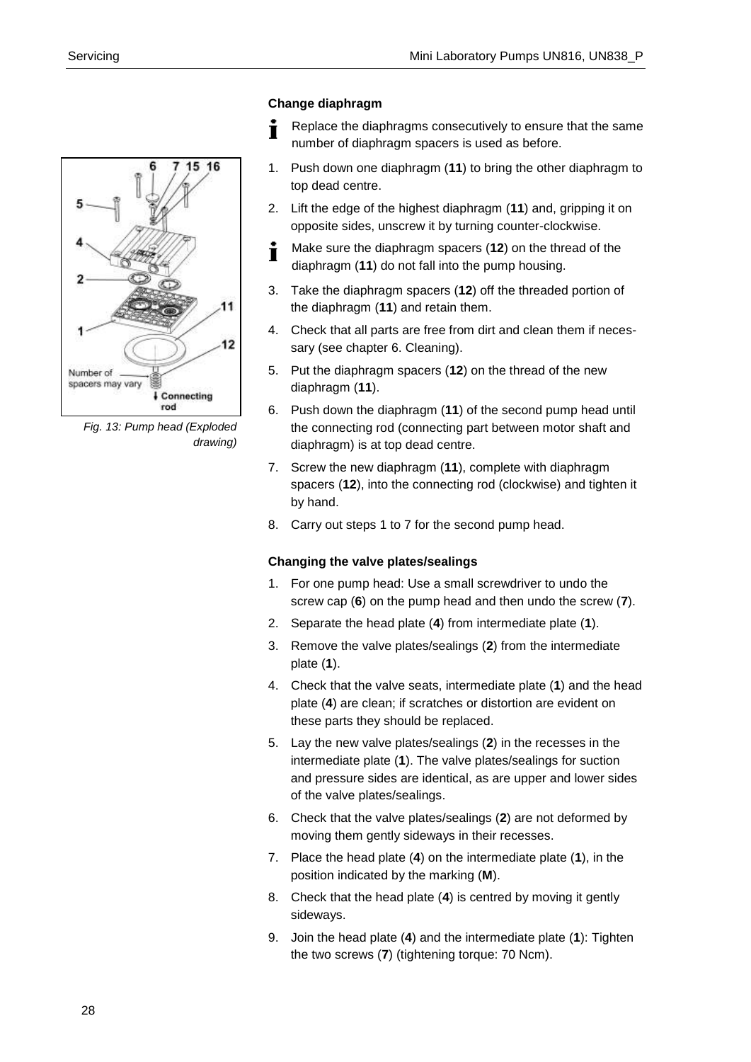

*Fig. 13: Pump head (Exploded drawing)*

### **Change diaphragm**

- Replace the diaphragms consecutively to ensure that the same number of diaphragm spacers is used as before.
- 1. Push down one diaphragm (**11**) to bring the other diaphragm to top dead centre.
- 2. Lift the edge of the highest diaphragm (**11**) and, gripping it on opposite sides, unscrew it by turning counter-clockwise.
- Make sure the diaphragm spacers (**12**) on the thread of the Ť diaphragm (**11**) do not fall into the pump housing.
- 3. Take the diaphragm spacers (**12**) off the threaded portion of the diaphragm (**11**) and retain them.
- 4. Check that all parts are free from dirt and clean them if necessary (see chapter 6. Cleaning).
- 5. Put the diaphragm spacers (**12**) on the thread of the new diaphragm (**11**).
- 6. Push down the diaphragm (**11**) of the second pump head until the connecting rod (connecting part between motor shaft and diaphragm) is at top dead centre.
- 7. Screw the new diaphragm (**11**), complete with diaphragm spacers (**12**), into the connecting rod (clockwise) and tighten it by hand.
- 8. Carry out steps 1 to 7 for the second pump head.

#### **Changing the valve plates/sealings**

- 1. For one pump head: Use a small screwdriver to undo the screw cap (**6**) on the pump head and then undo the screw (**7**).
- 2. Separate the head plate (**4**) from intermediate plate (**1**).
- 3. Remove the valve plates/sealings (**2**) from the intermediate plate (**1**).
- 4. Check that the valve seats, intermediate plate (**1**) and the head plate (**4**) are clean; if scratches or distortion are evident on these parts they should be replaced.
- 5. Lay the new valve plates/sealings (**2**) in the recesses in the intermediate plate (**1**). The valve plates/sealings for suction and pressure sides are identical, as are upper and lower sides of the valve plates/sealings.
- 6. Check that the valve plates/sealings (**2**) are not deformed by moving them gently sideways in their recesses.
- 7. Place the head plate (**4**) on the intermediate plate (**1**), in the position indicated by the marking (**M**).
- 8. Check that the head plate (**4**) is centred by moving it gently sideways.
- 9. Join the head plate (**4**) and the intermediate plate (**1**): Tighten the two screws (**7**) (tightening torque: 70 Ncm).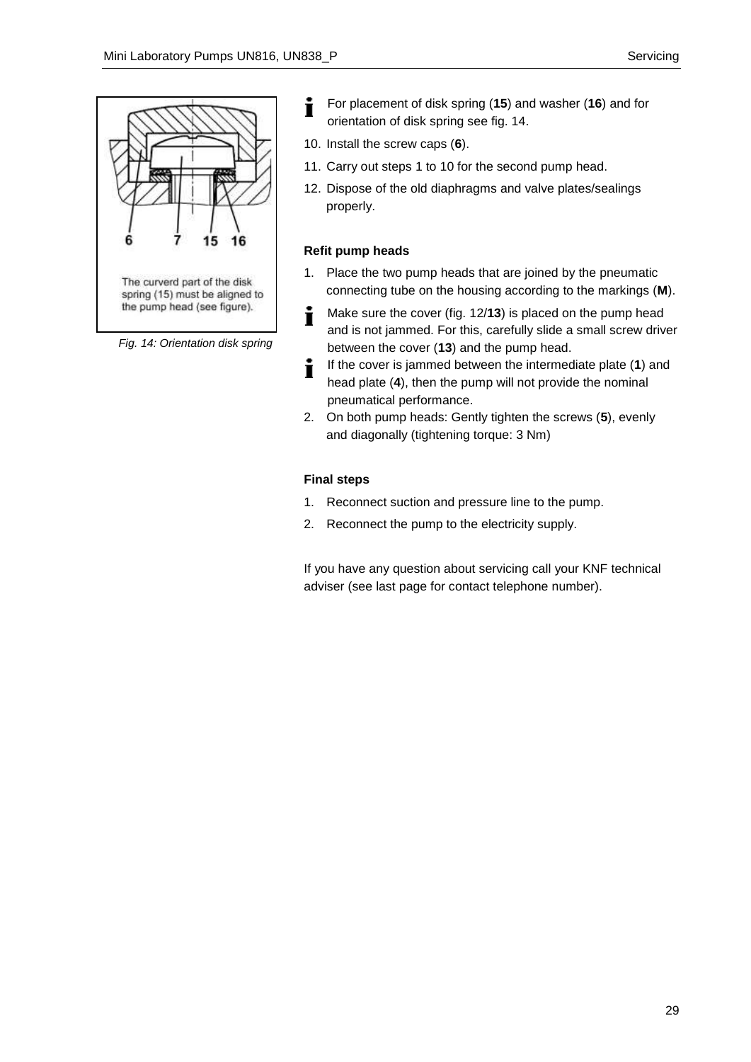

*Fig. 14: Orientation disk spring*

- i For placement of disk spring (**15**) and washer (**16**) and for orientation of disk spring see fig. 14.
- 10. Install the screw caps (**6**).
- 11. Carry out steps 1 to 10 for the second pump head.
- 12. Dispose of the old diaphragms and valve plates/sealings properly.

#### **Refit pump heads**

- 1. Place the two pump heads that are joined by the pneumatic connecting tube on the housing according to the markings (**M**).
- Ť Make sure the cover (fig. 12/**13**) is placed on the pump head and is not jammed. For this, carefully slide a small screw driver between the cover (**13**) and the pump head.
- If the cover is jammed between the intermediate plate (**1**) and Ť head plate (**4**), then the pump will not provide the nominal pneumatical performance.
- 2. On both pump heads: Gently tighten the screws (**5**), evenly and diagonally (tightening torque: 3 Nm)

#### **Final steps**

- 1. Reconnect suction and pressure line to the pump.
- 2. Reconnect the pump to the electricity supply.

If you have any question about servicing call your KNF technical adviser (see last page for contact telephone number).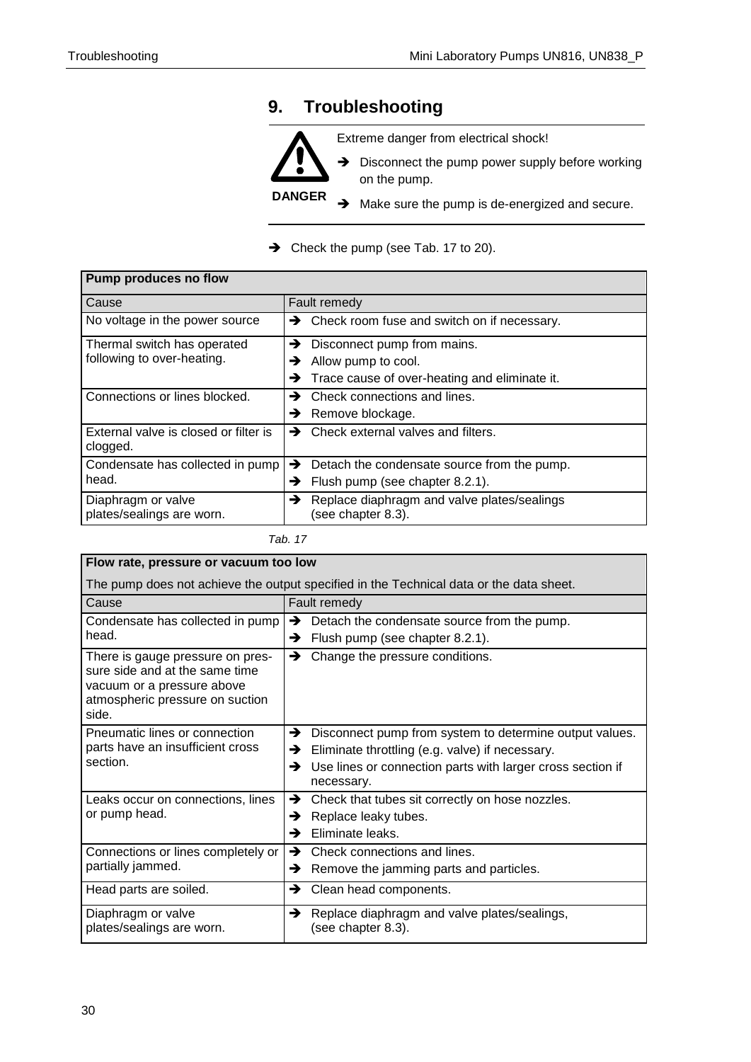# <span id="page-29-0"></span>**9. Troubleshooting**



Extreme danger from electrical shock!

 $\rightarrow$  Disconnect the pump power supply before working on the pump.

 $\rightarrow$  Make sure the pump is de-energized and secure.

#### → Check the pump (see Tab. 17 to 20).

| Pump produces no flow                             |                                                                        |
|---------------------------------------------------|------------------------------------------------------------------------|
| Cause                                             | Fault remedy                                                           |
| No voltage in the power source                    | Check room fuse and switch on if necessary.<br>→                       |
| Thermal switch has operated                       | Disconnect pump from mains.<br>→                                       |
| following to over-heating.                        | Allow pump to cool.<br>→                                               |
|                                                   | Trace cause of over-heating and eliminate it.                          |
| Connections or lines blocked.                     | Check connections and lines.<br>→                                      |
|                                                   | Remove blockage.<br>→                                                  |
| External valve is closed or filter is<br>clogged. | Check external valves and filters.<br>→                                |
| Condensate has collected in pump                  | Detach the condensate source from the pump.<br>→                       |
| head.                                             | Flush pump (see chapter 8.2.1).<br>→                                   |
| Diaphragm or valve<br>plates/sealings are worn.   | Replace diaphragm and valve plates/sealings<br>→<br>(see chapter 8.3). |

*Tab. 17*

| Flow rate, pressure or vacuum too low                                                                                                        |                                                                                                                                                                                                       |  |
|----------------------------------------------------------------------------------------------------------------------------------------------|-------------------------------------------------------------------------------------------------------------------------------------------------------------------------------------------------------|--|
| The pump does not achieve the output specified in the Technical data or the data sheet.                                                      |                                                                                                                                                                                                       |  |
| Cause                                                                                                                                        | Fault remedy                                                                                                                                                                                          |  |
| Condensate has collected in pump<br>head.                                                                                                    | Detach the condensate source from the pump.<br>→<br>Flush pump (see chapter 8.2.1).<br>→                                                                                                              |  |
| There is gauge pressure on pres-<br>sure side and at the same time<br>vacuum or a pressure above<br>atmospheric pressure on suction<br>side. | Change the pressure conditions.<br>→                                                                                                                                                                  |  |
| Pneumatic lines or connection<br>parts have an insufficient cross<br>section.                                                                | Disconnect pump from system to determine output values.<br>→<br>Eliminate throttling (e.g. valve) if necessary.<br>→<br>Use lines or connection parts with larger cross section if<br>→<br>necessary. |  |
| Leaks occur on connections, lines<br>or pump head.                                                                                           | Check that tubes sit correctly on hose nozzles.<br>→<br>Replace leaky tubes.<br>→<br>Eliminate leaks.<br>→                                                                                            |  |
| Connections or lines completely or<br>partially jammed.                                                                                      | Check connections and lines.<br>→<br>Remove the jamming parts and particles.<br>→                                                                                                                     |  |
| Head parts are soiled.                                                                                                                       | →<br>Clean head components.                                                                                                                                                                           |  |
| Diaphragm or valve<br>plates/sealings are worn.                                                                                              | →<br>Replace diaphragm and valve plates/sealings,<br>(see chapter 8.3).                                                                                                                               |  |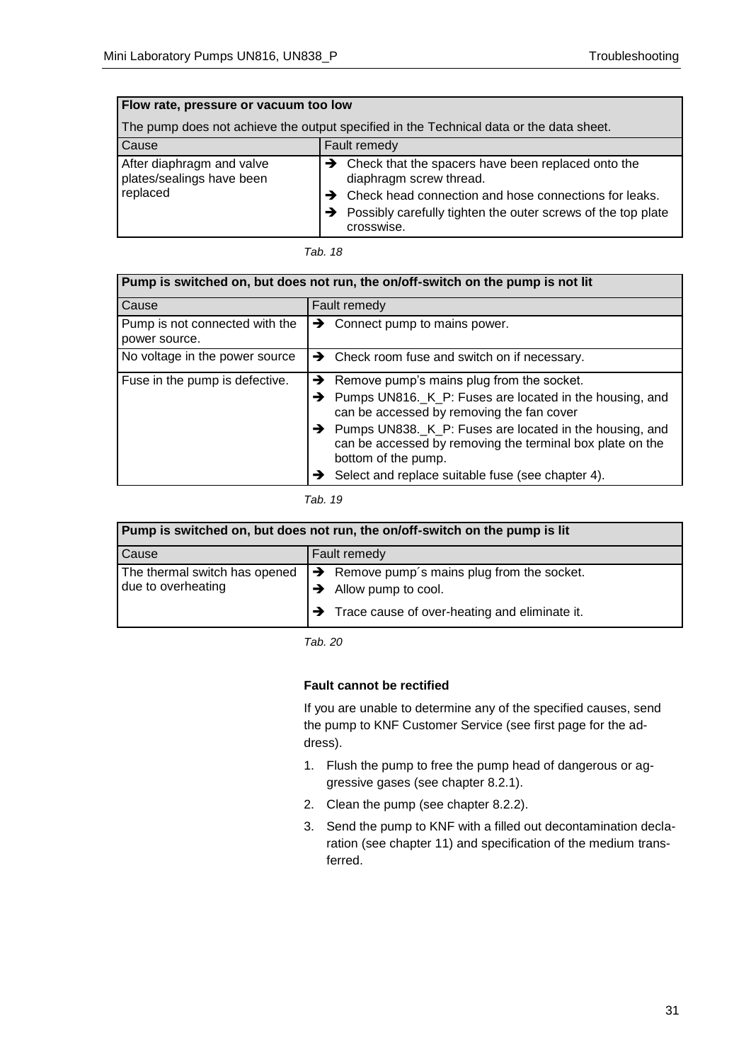| Flow rate, pressure or vacuum too low                                                   |                                                                                                                                                                                                                                                       |  |
|-----------------------------------------------------------------------------------------|-------------------------------------------------------------------------------------------------------------------------------------------------------------------------------------------------------------------------------------------------------|--|
| The pump does not achieve the output specified in the Technical data or the data sheet. |                                                                                                                                                                                                                                                       |  |
| Cause<br>Fault remedy                                                                   |                                                                                                                                                                                                                                                       |  |
| After diaphragm and valve<br>plates/sealings have been<br>replaced                      | $\rightarrow$ Check that the spacers have been replaced onto the<br>diaphragm screw thread.<br>$\rightarrow$ Check head connection and hose connections for leaks.<br>Possibly carefully tighten the outer screws of the top plate<br>→<br>crosswise. |  |

*Tab. 18*

| Pump is switched on, but does not run, the on/off-switch on the pump is not lit |                                                                                                                                                                                                                                                                                                                                                                                       |  |
|---------------------------------------------------------------------------------|---------------------------------------------------------------------------------------------------------------------------------------------------------------------------------------------------------------------------------------------------------------------------------------------------------------------------------------------------------------------------------------|--|
| Cause                                                                           | Fault remedy                                                                                                                                                                                                                                                                                                                                                                          |  |
| Pump is not connected with the<br>power source.                                 | $\rightarrow$ Connect pump to mains power.                                                                                                                                                                                                                                                                                                                                            |  |
| No voltage in the power source                                                  | $\rightarrow$ Check room fuse and switch on if necessary.                                                                                                                                                                                                                                                                                                                             |  |
| Fuse in the pump is defective.                                                  | Remove pump's mains plug from the socket.<br>→<br>Pumps UN816._K_P: Fuses are located in the housing, and<br>→<br>can be accessed by removing the fan cover<br>Pumps UN838._K_P: Fuses are located in the housing, and<br>$\rightarrow$<br>can be accessed by removing the terminal box plate on the<br>bottom of the pump.<br>Select and replace suitable fuse (see chapter 4).<br>→ |  |

#### *Tab. 19*

| Pump is switched on, but does not run, the on/off-switch on the pump is lit |                                                                                              |  |
|-----------------------------------------------------------------------------|----------------------------------------------------------------------------------------------|--|
| Cause                                                                       | Fault remedy                                                                                 |  |
| The thermal switch has opened<br>due to overheating                         | $\rightarrow$ Remove pump's mains plug from the socket.<br>$\rightarrow$ Allow pump to cool. |  |
|                                                                             | $\rightarrow$ Trace cause of over-heating and eliminate it.                                  |  |

*Tab. 20*

#### **Fault cannot be rectified**

If you are unable to determine any of the specified causes, send the pump to KNF Customer Service (see first page for the address).

- 1. Flush the pump to free the pump head of dangerous or aggressive gases (see chapter 8.2.1).
- 2. Clean the pump (see chapter 8.2.2).
- 3. Send the pump to KNF with a filled out decontamination declaration (see chapter 11) and specification of the medium transferred.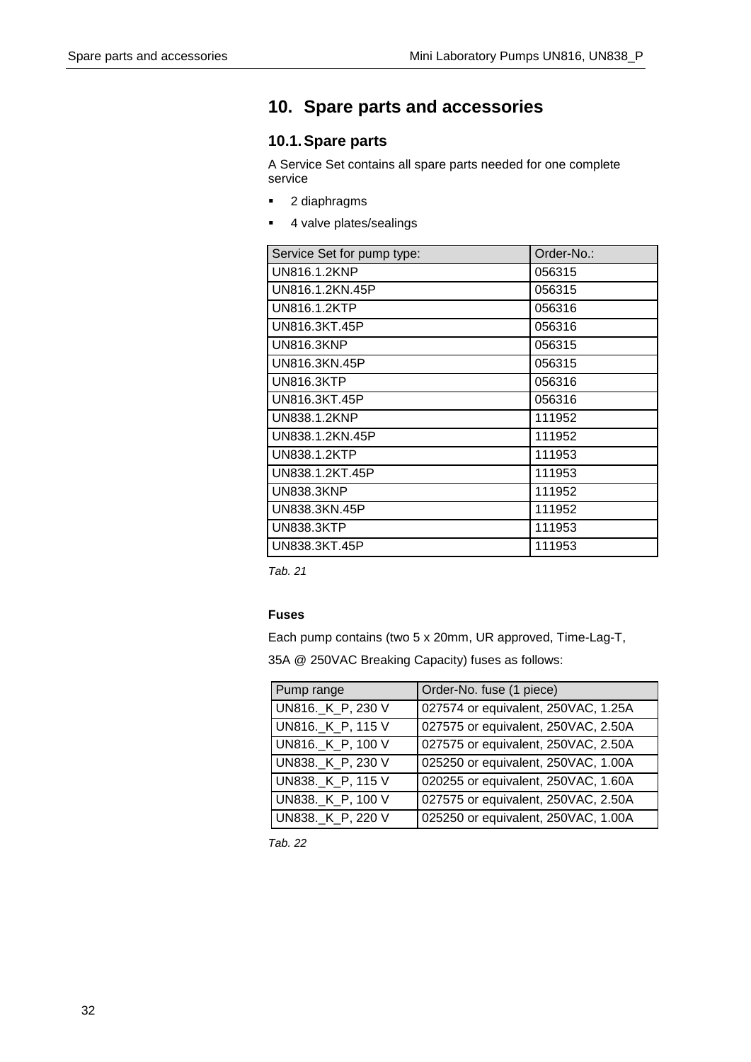# <span id="page-31-0"></span>**10. Spare parts and accessories**

### **10.1.Spare parts**

A Service Set contains all spare parts needed for one complete service

- 2 diaphragms
- 4 valve plates/sealings

| Service Set for pump type: | Order-No.: |
|----------------------------|------------|
| UN816.1.2KNP               | 056315     |
| UN816.1.2KN.45P            | 056315     |
| UN816.1.2KTP               | 056316     |
| UN816.3KT.45P              | 056316     |
| <b>UN816.3KNP</b>          | 056315     |
| UN816.3KN.45P              | 056315     |
| <b>UN816.3KTP</b>          | 056316     |
| UN816.3KT.45P              | 056316     |
| UN838.1.2KNP               | 111952     |
| UN838.1.2KN.45P            | 111952     |
| <b>UN838.1.2KTP</b>        | 111953     |
| UN838.1.2KT.45P            | 111953     |
| UN838.3KNP                 | 111952     |
| UN838.3KN.45P              | 111952     |
| <b>UN838.3KTP</b>          | 111953     |
| UN838.3KT.45P              | 111953     |

*Tab. 21*

#### **Fuses**

Each pump contains (two 5 x 20mm, UR approved, Time-Lag-T, 35A @ 250VAC Breaking Capacity) fuses as follows:

| Pump range        | Order-No. fuse (1 piece)            |
|-------------------|-------------------------------------|
| UN816. K P, 230 V | 027574 or equivalent, 250VAC, 1.25A |
| UN816. KP, 115 V  | 027575 or equivalent, 250VAC, 2.50A |
| UN816. K P, 100 V | 027575 or equivalent, 250VAC, 2.50A |
| UN838. K P, 230 V | 025250 or equivalent, 250VAC, 1.00A |
| UN838._K_P, 115 V | 020255 or equivalent, 250VAC, 1.60A |
| UN838. K P, 100 V | 027575 or equivalent, 250VAC, 2.50A |
| UN838. K P, 220 V | 025250 or equivalent, 250VAC, 1.00A |

*Tab. 22*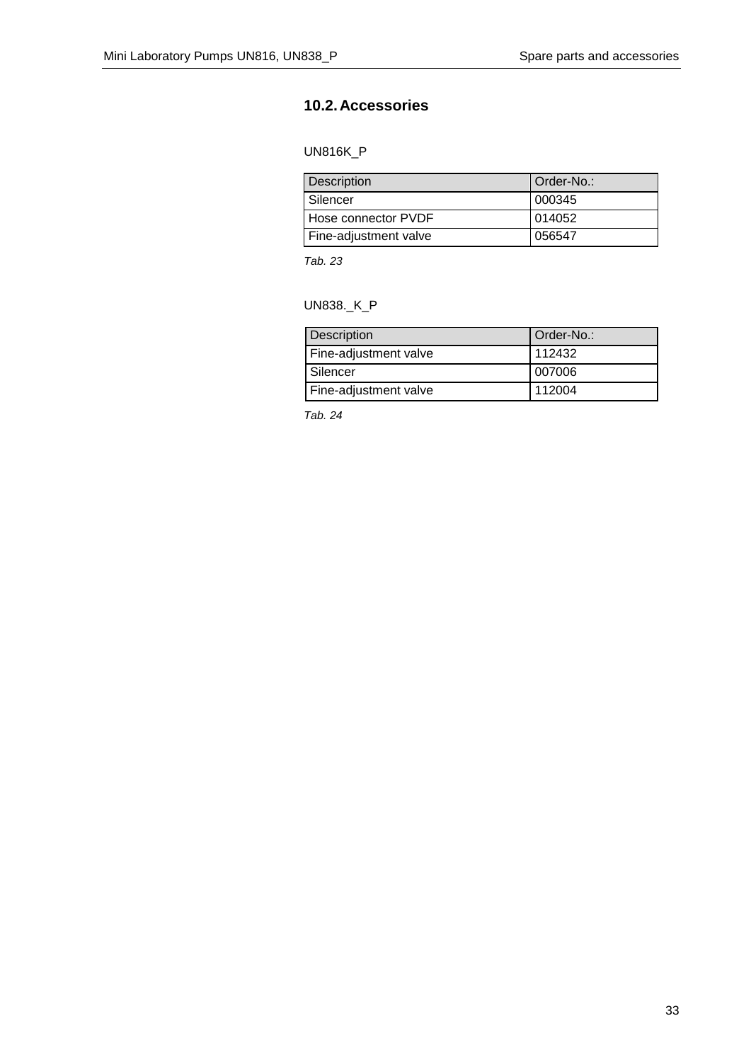### **10.2.Accessories**

### UN816K\_P

| Description           | Order-No.: |
|-----------------------|------------|
| Silencer              | 000345     |
| Hose connector PVDF   | 014052     |
| Fine-adjustment valve | 056547     |

*Tab. 23*

#### UN838.\_K\_P

| Description           | Order-No.: |
|-----------------------|------------|
| Fine-adjustment valve | 112432     |
| Silencer              | 007006     |
| Fine-adjustment valve | 112004     |

*Tab. 24*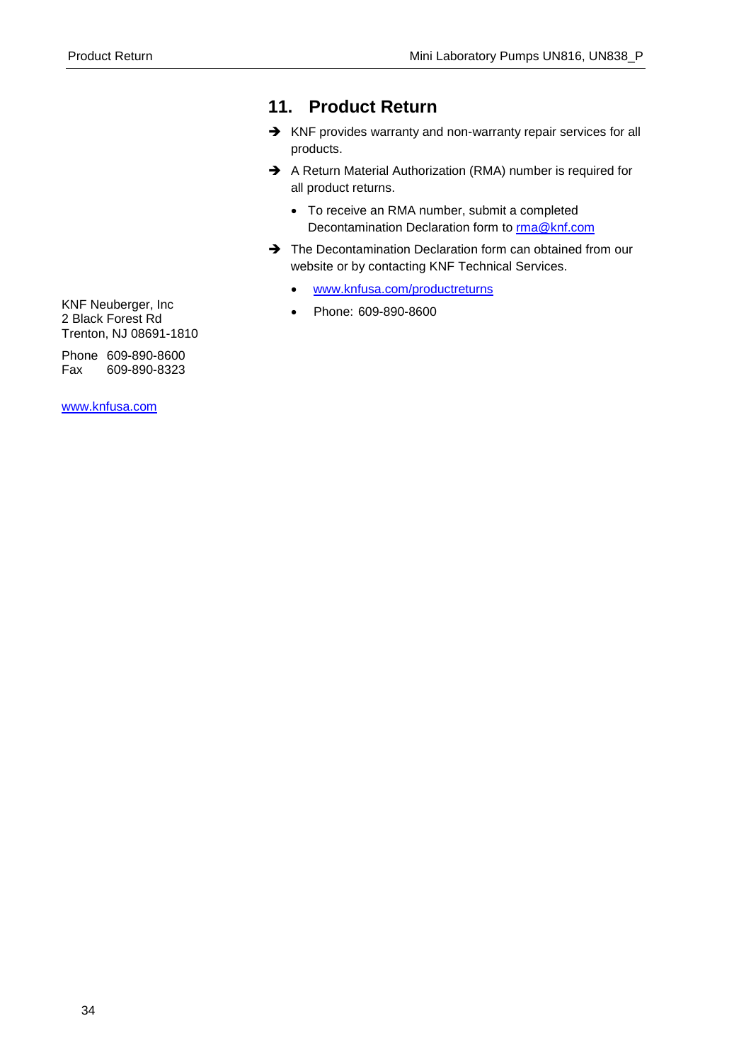### **11. Product Return**

- → KNF provides warranty and non-warranty repair services for all products.
- A Return Material Authorization (RMA) number is required for all product returns.
	- To receive an RMA number, submit a completed Decontamination Declaration form to [rma@knf.com](mailto:rma@knf.com)
- $\rightarrow$  The Decontamination Declaration form can obtained from our website or by contacting KNF Technical Services.
	- [www.knfusa.com/productreturns](http://www.knf.com/pdfs/decontamdec.doc)
	-

 Phone: 609-890-8600 KNF Neuberger, Inc 2 Black Forest Rd Trenton, NJ 08691-1810

Phone 609-890-8600<br>Fax 609-890-8323 Fax 609-890-8323

[www.knfusa.com](http://www.knfusa.com/)